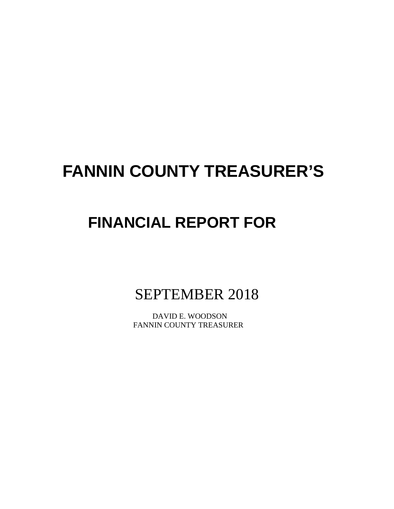# **FANNIN COUNTY TREASURER'S**

# **FINANCIAL REPORT FOR**

SEPTEMBER 2018

 DAVID E. WOODSON FANNIN COUNTY TREASURER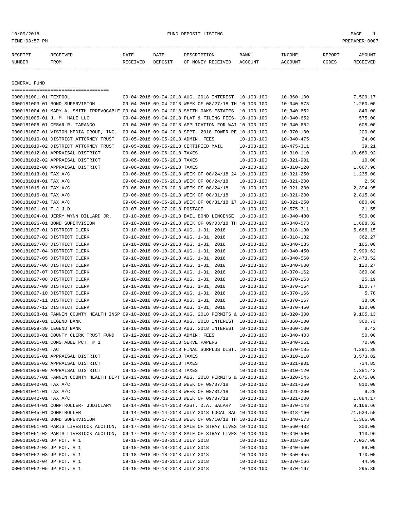## 10/09/2018 FUND DEPOSIT LISTING PAGE 1

| RECEIPT | <b>RECEIVED</b> | DATE     | DATE    | DESCRIPTION       | BANK    | TNCOME.        | REPORT | <b>AMOUNT</b> |
|---------|-----------------|----------|---------|-------------------|---------|----------------|--------|---------------|
| NUMBER  | FROM            | RECEIVED | DEPOSIT | OF MONEY RECEIVED | ACCOUNT | <b>ACCOUNT</b> | CODES  | RECEIVED      |
|         |                 |          |         |                   |         |                |        |               |

GENERAL FUND

| =====================================                                                        |                                 |                                                      |                  |                  |           |
|----------------------------------------------------------------------------------------------|---------------------------------|------------------------------------------------------|------------------|------------------|-----------|
| 0000181001-01 TEXPOOL                                                                        |                                 | 09-04-2018 09-04-2018 AUG. 2018 INTEREST 10-103-100  |                  | $10 - 360 - 100$ | 7,509.17  |
| 0000181003-01 BOND SUPERVISION                                                               |                                 | 09-04-2018 09-04-2018 WEEK OF 08/27/18 TH 10-103-100 |                  | $10 - 340 - 573$ | 1,260.00  |
| 0000181004-01 MARY A. SMITH IRREVOCABLE 09-04-2018 09-04-2018 SMITH OAKS ESTATES 10-103-100  |                                 |                                                      |                  | $10 - 340 - 652$ | 840.00    |
| 0000181005-01 J. M. HALE LLC                                                                 |                                 | 09-04-2018 09-04-2018 PLAT & FILING FEES- 10-103-100 |                  | $10 - 340 - 652$ | 575.00    |
| 0000181006-01 CESAR R. TARANGO                                                               |                                 | 09-04-2018 09-04-2018 APPLICATION FOR WAI 10-103-100 |                  | $10 - 340 - 652$ | 605.00    |
| 0000181007-01 VISION MEDIA GROUP, INC.                                                       |                                 | 09-04-2018 09-04-2018 SEPT. 2018 TOWER RE 10-103-100 |                  | $10 - 370 - 100$ | 200.00    |
| 0000181010-01 DISTRICT ATTORNEY TRUST                                                        |                                 | 09-05-2018 09-05-2018 ADMIN. FEES                    | 10-103-100       | $10 - 340 - 475$ | 24.00     |
| 0000181010-02 DISTRICT ATTORNEY TRUST                                                        |                                 | 09-05-2018 09-05-2018 CERTIFIED MAIL                 | $10 - 103 - 100$ | $10 - 475 - 311$ | 39.21     |
| 0000181012-01 APPRAISAL DISTRICT                                                             | 09-06-2018 09-06-2018 TAXES     |                                                      | $10 - 103 - 100$ | $10 - 310 - 110$ | 10,680.92 |
| 0000181012-02 APPRAISAL DISTRICT                                                             | 09-06-2018 09-06-2018 TAXES     |                                                      | $10 - 103 - 100$ | $10 - 321 - 901$ | 10.00     |
| 0000181012-08 APPRAISAL DISTRICT                                                             | 09-06-2018 09-06-2018 TAXES     |                                                      | $10 - 103 - 100$ | $10 - 310 - 120$ | 1,667.96  |
| 0000181013-01 TAX A/C                                                                        |                                 | 09-06-2018 09-06-2018 WEEK OF 08/24/18 24 10-103-100 |                  | $10 - 321 - 250$ | 1,235.00  |
| 0000181014-01 TAX A/C                                                                        |                                 | 09-06-2018 09-06-2018 WEEK OF 08/24/18               | 10-103-100       | $10 - 321 - 200$ | 2.50      |
| 0000181015-01 TAX A/C                                                                        |                                 | 09-06-2018 09-06-2018 WEEK OF 08/24/18               | $10 - 103 - 100$ | $10 - 321 - 200$ | 2,394.95  |
| 0000181016-01 TAX A/C                                                                        |                                 | 09-06-2018 09-06-2018 WEEK OF 08/31/18               | $10 - 103 - 100$ | $10 - 321 - 200$ | 2,815.80  |
| 0000181017-01 TAX A/C                                                                        |                                 | 09-06-2018 09-06-2018 WEEK OF 08/31/18 17 10-103-100 |                  | $10 - 321 - 250$ | 880.00    |
| 0000181021-01 T.J.J.D.                                                                       | 09-07-2018 09-07-2018 POSTAGE   |                                                      | 10-103-100       | $10 - 575 - 311$ | 21.55     |
| 0000181024-01 JERRY WYNN DILLARD JR.                                                         |                                 | 09-10-2018 09-10-2018 BAIL BOND LINCENSE 10-103-100  |                  | $10 - 340 - 480$ | 500.00    |
| 0000181026-01 BOND SUPERVISION                                                               |                                 | 09-10-2018 09-10-2018 WEEK OF 09/03/18 TH 10-103-100 |                  | $10 - 340 - 573$ | 1,688.32  |
| 0000181027-01 DISTRICT CLERK                                                                 |                                 | 09-10-2018 09-10-2018 AUG. 1-31, 2018                | $10 - 103 - 100$ | $10 - 318 - 130$ | 5,666.15  |
| 0000181027-02 DISTRICT CLERK                                                                 |                                 | 09-10-2018 09-10-2018 AUG. 1-31, 2018                | $10 - 103 - 100$ | $10 - 318 - 132$ | 362.27    |
| 0000181027-03 DISTRICT CLERK                                                                 |                                 | 09-10-2018 09-10-2018 AUG. 1-31, 2018                | $10 - 103 - 100$ | $10 - 340 - 135$ | 165.00    |
| 0000181027-04 DISTRICT CLERK                                                                 |                                 | 09-10-2018 09-10-2018 AUG. 1-31, 2018                | $10 - 103 - 100$ | $10 - 340 - 450$ | 7,999.62  |
| 0000181027-05 DISTRICT CLERK                                                                 |                                 | 09-10-2018 09-10-2018 AUG. 1-31, 2018                | $10 - 103 - 100$ | $10 - 340 - 560$ | 2,473.52  |
| 0000181027-06 DISTRICT CLERK                                                                 |                                 | 09-10-2018 09-10-2018 AUG. 1-31, 2018                | $10 - 103 - 100$ | $10 - 340 - 600$ | 120.27    |
| 0000181027-07 DISTRICT CLERK                                                                 |                                 | 09-10-2018 09-10-2018 AUG. 1-31, 2018                | $10 - 103 - 100$ | $10 - 370 - 162$ | 360.80    |
| 0000181027-08 DISTRICT CLERK                                                                 |                                 | 09-10-2018 09-10-2018 AUG. 1-31, 2018                | $10 - 103 - 100$ | $10 - 370 - 163$ | 25.19     |
| 0000181027-09 DISTRICT CLERK                                                                 |                                 | 09-10-2018 09-10-2018 AUG. 1-31, 2018                | $10 - 103 - 100$ | $10 - 370 - 164$ | 100.77    |
| 0000181027-10 DISTRICT CLERK                                                                 |                                 | 09-10-2018 09-10-2018 AUG. 1-31, 2018                | $10 - 103 - 100$ | $10 - 370 - 166$ | 5.78      |
| 0000181027-11 DISTRICT CLERK                                                                 |                                 | 09-10-2018 09-10-2018 AUG. 1-31, 2018                | 10-103-100       | $10 - 370 - 167$ | 38.86     |
| 0000181027-12 DISTRICT CLERK                                                                 |                                 | 09-10-2018 09-10-2018 AUG. 1-31, 2018                | $10 - 103 - 100$ | $10 - 370 - 450$ | 130.00    |
| 0000181028-01 FANNIN COUNTY HEALTH INSP 09-10-2018 09-10-2018 AUG. 2018 PERMITS & 10-103-100 |                                 |                                                      |                  | $10 - 320 - 300$ | 9,105.13  |
| 0000181029-01 LEGEND BANK                                                                    |                                 | 09-10-2018 09-10-2018 AUG. 2018 INTEREST             | 10-103-100       | $10 - 360 - 100$ | 360.73    |
| 0000181029-30 LEGEND BANK                                                                    |                                 | 09-10-2018 09-10-2018 AUG. 2018 INTEREST             | 10-100-100       | $10 - 360 - 100$ | 8.42      |
| 0000181030-01 COUNTY CLERK TRUST FUND                                                        |                                 | 09-12-2018 09-12-2018 ADMIN. FEES                    | $10 - 103 - 100$ | $10 - 340 - 403$ | 50.00     |
| 0000181031-01 CONSTABLE PCT. # 1                                                             |                                 | 09-12-2018 09-12-2018 SERVE PAPERS                   | $10 - 103 - 100$ | $10 - 340 - 551$ | 70.00     |
| 0000181032-01 TAC                                                                            |                                 | 09-12-2018 09-12-2018 FINAL SURPLUS DIST. 10-103-100 |                  | $10 - 370 - 135$ | 4,291.30  |
| 0000181036-01 APPRAISAL DISTRICT                                                             | 09-13-2018 09-13-2018 TAXES     |                                                      | $10 - 103 - 100$ | $10 - 310 - 110$ | 3,573.82  |
| 0000181036-02 APPRAISAL DISTRICT                                                             | 09-13-2018 09-13-2018 TAXES     |                                                      | $10 - 103 - 100$ | $10 - 321 - 901$ | 734.85    |
| 0000181036-08 APPRAISAL DISTRICT                                                             | 09-13-2018 09-13-2018 TAXES     |                                                      | $10 - 103 - 100$ | $10 - 310 - 120$ | 1,381.42  |
| 0000181037-01 FANNIN COUNTY HEALTH DEPT 09-13-2018 09-13-2018 AUG. 2018 PERMITS & 10-103-100 |                                 |                                                      |                  | $10 - 320 - 545$ | 2,675.00  |
| 0000181040-01 TAX A/C                                                                        |                                 | 09-13-2018 09-13-2018 WEEK OF 09/07/18               | $10 - 103 - 100$ | $10 - 321 - 250$ | 810.00    |
| 0000181041-01 TAX A/C                                                                        |                                 | 09-13-2018 09-13-2018 WEEK OF 08/31/18               | 10-103-100       | $10 - 321 - 200$ | 9.20      |
| 0000181042-01 TAX A/C                                                                        |                                 | 09-13-2018 09-13-2018 WEEK OF 09/07/18               | 10-103-100       | $10 - 321 - 200$ | 1,884.17  |
| 0000181044-01 COMPTROLLER- JUDICIARY                                                         |                                 | 09-14-2018 09-14-2018 ASST. D.A. SALARY              | 10-103-100       | $10 - 370 - 143$ | 9,166.66  |
| 0000181045-01 COMPTROLLER                                                                    |                                 | 09-14-2018 09-14-2018 JULY 2018 LOCAL SAL 10-103-100 |                  | $10 - 318 - 160$ | 71,534.50 |
| 0000181049-01 BOND SUPERVISION                                                               |                                 | 09-17-2018 09-17-2018 WEEK OF 09/10/18 TH 10-103-100 |                  | $10 - 340 - 573$ | 1,365.00  |
| 0000181051-01 PARIS LIVESTOCK AUCTION, 09-17-2018 09-17-2018 SALE OF STRAY LIVES 10-103-100  |                                 |                                                      |                  | $10 - 560 - 432$ | 303.00    |
| 0000181051-02 PARIS LIVESTOCK AUCTION,                                                       |                                 | 09-17-2018 09-17-2018 SALE OF STRAY LIVES 10-103-100 |                  | $10 - 340 - 560$ | 113.96    |
| 0000181052-01 JP PCT. # 1                                                                    | 09-18-2018 09-18-2018 JULY 2018 |                                                      | $10 - 103 - 100$ | $10 - 318 - 130$ | 7,027.08  |
| 0000181052-02 JP PCT. # 1                                                                    | 09-18-2018 09-18-2018 JULY 2018 |                                                      | $10 - 103 - 100$ | $10 - 340 - 560$ | 89.09     |
| 0000181052-03 JP PCT. # 1                                                                    | 09-18-2018 09-18-2018 JULY 2018 |                                                      | $10 - 103 - 100$ | $10 - 350 - 455$ | 170.00    |
| 0000181052-04 JP PCT. # 1                                                                    | 09-18-2018 09-18-2018 JULY 2018 |                                                      | $10 - 103 - 100$ | $10 - 370 - 166$ | 44.99     |
| 0000181052-05 JP PCT. # 1                                                                    | 09-18-2018 09-18-2018 JULY 2018 |                                                      | $10 - 103 - 100$ | $10 - 370 - 167$ | 295.89    |
|                                                                                              |                                 |                                                      |                  |                  |           |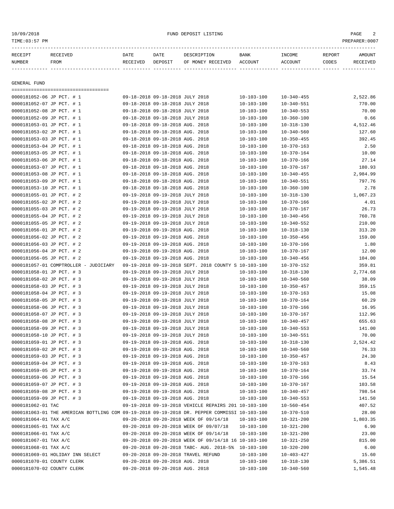| TIME: 03:57 PM            |                                                                    |                  |                                 |                                                      |                        |                   |                 | PREPARER: 0007     |
|---------------------------|--------------------------------------------------------------------|------------------|---------------------------------|------------------------------------------------------|------------------------|-------------------|-----------------|--------------------|
| RECEIPT<br>NUMBER         | RECEIVED<br>FROM                                                   | DATE<br>RECEIVED | DATE<br>DEPOSIT                 | DESCRIPTION<br>OF MONEY RECEIVED                     | <b>BANK</b><br>ACCOUNT | INCOME<br>ACCOUNT | REPORT<br>CODES | AMOUNT<br>RECEIVED |
| GENERAL FUND              |                                                                    |                  |                                 |                                                      |                        |                   |                 |                    |
|                           | =====================================<br>0000181052-06 JP PCT. # 1 |                  | 09-18-2018 09-18-2018 JULY 2018 |                                                      | $10 - 103 - 100$       | $10 - 340 - 455$  |                 | 2,522.86           |
|                           | 0000181052-07 JP PCT. # 1                                          |                  | 09-18-2018 09-18-2018 JULY 2018 |                                                      | $10 - 103 - 100$       | $10 - 340 - 551$  |                 | 770.00             |
|                           | 0000181052-08 JP PCT. # 1                                          |                  | 09-18-2018 09-18-2018 JULY 2018 |                                                      | $10 - 103 - 100$       | $10 - 340 - 553$  |                 | 70.00              |
|                           | 0000181052-09 JP PCT. # 1                                          |                  | 09-18-2018 09-18-2018 JULY 2018 |                                                      | $10 - 103 - 100$       | $10 - 360 - 100$  |                 | 0.66               |
|                           | 0000181053-01 JP PCT. # 1                                          |                  | 09-18-2018 09-18-2018 AUG. 2018 |                                                      | $10 - 103 - 100$       | $10 - 318 - 130$  |                 | 4,512.46           |
| 0000181053-02 JP PCT. # 1 |                                                                    |                  | 09-18-2018 09-18-2018 AUG. 2018 |                                                      | $10 - 103 - 100$       | $10 - 340 - 560$  |                 | 127.60             |
| 0000181053-03 JP PCT. # 1 |                                                                    |                  | 09-18-2018 09-18-2018 AUG. 2018 |                                                      | $10 - 103 - 100$       | $10 - 350 - 455$  |                 | 392.45             |
|                           | 0000181053-04 JP PCT. # 1                                          |                  | 09-18-2018 09-18-2018 AUG. 2018 |                                                      | $10 - 103 - 100$       | $10 - 370 - 163$  |                 | 2.50               |
|                           | 0000181053-05 JP PCT. # 1                                          |                  | 09-18-2018 09-18-2018 AUG. 2018 |                                                      | $10 - 103 - 100$       | $10 - 370 - 164$  |                 | 10.00              |
|                           | 0000181053-06 JP PCT. # 1                                          |                  | 09-18-2018 09-18-2018 AUG. 2018 |                                                      | $10 - 103 - 100$       | $10 - 370 - 166$  |                 | 27.14              |
| 0000181053-07 JP PCT. # 1 |                                                                    |                  | 09-18-2018 09-18-2018 AUG. 2018 |                                                      | $10 - 103 - 100$       | $10 - 370 - 167$  |                 | 180.93             |
|                           | 0000181053-08 JP PCT. # 1                                          |                  | 09-18-2018 09-18-2018 AUG. 2018 |                                                      | $10 - 103 - 100$       | $10 - 340 - 455$  |                 | 2,984.99           |
| 0000181053-09 JP PCT. # 1 |                                                                    |                  | 09-18-2018 09-18-2018 AUG. 2018 |                                                      | $10 - 103 - 100$       | $10 - 340 - 551$  |                 | 797.76             |
| 0000181053-10 JP PCT. # 1 |                                                                    |                  | 09-18-2018 09-18-2018 AUG. 2018 |                                                      | $10 - 103 - 100$       | $10 - 360 - 100$  |                 | 2.78               |
|                           | 0000181055-01 JP PCT. # 2                                          |                  | 09-19-2018 09-19-2018 JULY 2018 |                                                      | $10 - 103 - 100$       | $10 - 318 - 130$  |                 | 1,067.23           |
| 0000181055-02 JP PCT. # 2 |                                                                    |                  | 09-19-2018 09-19-2018 JULY 2018 |                                                      | $10 - 103 - 100$       | $10 - 370 - 166$  |                 | 4.01               |
| 0000181055-03 JP PCT. # 2 |                                                                    |                  | 09-19-2018 09-19-2018 JULY 2018 |                                                      | $10 - 103 - 100$       | $10 - 370 - 167$  |                 | 26.73              |
| 0000181055-04 JP PCT. # 2 |                                                                    |                  | 09-19-2018 09-19-2018 JULY 2018 |                                                      | $10 - 103 - 100$       | $10 - 340 - 456$  |                 | 760.78             |
| 0000181055-05 JP PCT. # 2 |                                                                    |                  | 09-19-2018 09-19-2018 JULY 2018 |                                                      | $10 - 103 - 100$       | $10 - 340 - 552$  |                 | 210.00             |
| 0000181056-01 JP PCT. # 2 |                                                                    |                  | 09-19-2018 09-19-2018 AUG. 2018 |                                                      | $10 - 103 - 100$       | $10 - 318 - 130$  |                 | 313.20             |
| 0000181056-02 JP PCT. # 2 |                                                                    |                  | 09-19-2018 09-19-2018 AUG. 2018 |                                                      | $10 - 103 - 100$       | $10 - 350 - 456$  |                 | 159.00             |
| 0000181056-03 JP PCT. # 2 |                                                                    |                  | 09-19-2018 09-19-2018 AUG. 2018 |                                                      | $10 - 103 - 100$       | $10 - 370 - 166$  |                 | 1.80               |
| 0000181056-04 JP PCT. # 2 |                                                                    |                  | 09-19-2018 09-19-2018 AUG. 2018 |                                                      | $10 - 103 - 100$       | $10 - 370 - 167$  |                 | 12.00              |
| 0000181056-05 JP PCT. # 2 |                                                                    |                  | 09-19-2018 09-19-2018 AUG. 2018 |                                                      | $10 - 103 - 100$       | $10 - 340 - 456$  |                 | 104.00             |
|                           | 0000181057-01 COMPTROLLER - JUDICIARY                              |                  |                                 | 09-19-2018 09-19-2018 SEPT. 2018 COUNTY S 10-103-100 |                        | $10 - 370 - 152$  |                 | 359.81             |
| 0000181058-01 JP PCT. # 3 |                                                                    |                  | 09-19-2018 09-19-2018 JULY 2018 |                                                      | $10 - 103 - 100$       | $10 - 318 - 130$  |                 | 2,774.68           |
|                           | 0000181058-02 JP PCT. # 3                                          |                  | 09-19-2018 09-19-2018 JULY 2018 |                                                      | $10 - 103 - 100$       | $10 - 340 - 560$  |                 | 38.09              |
| 0000181058-03 JP PCT. # 3 |                                                                    |                  | 09-19-2018 09-19-2018 JULY 2018 |                                                      | $10 - 103 - 100$       | $10 - 350 - 457$  |                 | 359.15             |
| 0000181058-04 JP PCT. # 3 |                                                                    |                  | 09-19-2018 09-19-2018 JULY 2018 |                                                      | $10 - 103 - 100$       | $10 - 370 - 163$  |                 | 15.08              |
| 0000181058-05 JP PCT. # 3 |                                                                    |                  | 09-19-2018 09-19-2018 JULY 2018 |                                                      | $10 - 103 - 100$       | $10 - 370 - 164$  |                 | 60.29              |
|                           | 0000181058-06 JP PCT. # 3                                          |                  | 09-19-2018 09-19-2018 JULY 2018 |                                                      | $10 - 103 - 100$       | 10-370-166        |                 | 16.95              |
| 0000181058-07 JP PCT. # 3 |                                                                    |                  | 09-19-2018 09-19-2018 JULY 2018 |                                                      | $10 - 103 - 100$       | $10 - 370 - 167$  |                 | 112.96             |
| 0000181058-08 JP PCT. # 3 |                                                                    |                  | 09-19-2018 09-19-2018 JULY 2018 |                                                      | $10 - 103 - 100$       | $10 - 340 - 457$  |                 | 655.63             |
| 0000181058-09 JP PCT. # 3 |                                                                    |                  | 09-19-2018 09-19-2018 JULY 2018 |                                                      | $10 - 103 - 100$       | $10 - 340 - 553$  |                 | 141.00             |
| 0000181058-10 JP PCT. # 3 |                                                                    |                  | 09-19-2018 09-19-2018 JULY 2018 |                                                      | $10 - 103 - 100$       | $10 - 340 - 551$  |                 | 70.00              |
|                           | 0000181059-01 JP PCT. # 3                                          |                  | 09-19-2018 09-19-2018 AUG. 2018 |                                                      | $10 - 103 - 100$       | $10 - 318 - 130$  |                 | 2,524.42           |
|                           | 0000181059-02 JP PCT. # 3                                          |                  | 09-19-2018 09-19-2018 AUG. 2018 |                                                      | $10 - 103 - 100$       | $10 - 340 - 560$  |                 | 76.33              |
|                           | 0000181059-03 JP PCT. # 3                                          |                  | 09-19-2018 09-19-2018 AUG. 2018 |                                                      | $10 - 103 - 100$       | $10 - 350 - 457$  |                 | 24.30              |
|                           | 0000181059-04 JP PCT. # 3                                          |                  | 09-19-2018 09-19-2018 AUG. 2018 |                                                      | $10 - 103 - 100$       | $10 - 370 - 163$  |                 | 8.43               |
|                           | 0000181059-05 JP PCT. # 3                                          |                  | 09-19-2018 09-19-2018 AUG. 2018 |                                                      | $10 - 103 - 100$       | $10 - 370 - 164$  |                 | 33.74              |
|                           | 0000181059-06 JP PCT. # 3                                          |                  | 09-19-2018 09-19-2018 AUG. 2018 |                                                      | $10 - 103 - 100$       | $10 - 370 - 166$  |                 | 15.54              |
|                           | 0000181059-07 JP PCT. # 3                                          |                  | 09-19-2018 09-19-2018 AUG. 2018 |                                                      | $10 - 103 - 100$       | $10 - 370 - 167$  |                 | 103.58             |
|                           | 0000181059-08 JP PCT. # 3                                          |                  | 09-19-2018 09-19-2018 AUG. 2018 |                                                      | $10 - 103 - 100$       | $10 - 340 - 457$  |                 | 798.54             |
|                           | 0000181059-09 JP PCT. # 3                                          |                  | 09-19-2018 09-19-2018 AUG. 2018 |                                                      | $10 - 103 - 100$       | $10 - 340 - 553$  |                 | 141.50             |
| $0.000191062 - 01$ TAC    |                                                                    |                  |                                 | 09-19-2018 09-19-2018 VEHICLE PEDATES 201 10-103-100 |                        | $10 - 560 - 454$  |                 | $407$ 52           |

0000181062-01 TAC 09-19-2018 09-19-2018 VEHICLE REPAIRS 201 10-103-100 10-560-454 407.52 0000181063-01 THE AMERICAN BOTTLING COM 09-19-2018 09-19-2018 DR. PEPPER COMMISSI 10-103-100 10-370-510 28.00 0000181064-01 TAX A/C 09-20-2018 09-20-2018 09-20-2018 WEEK OF 09/14/18 10-103-100 10-321-200 1,803.35 0000181065-01 TAX A/C 09-20-2018 09-20-2018 09-20-2018 WEEK OF 09/07/18 10-103-100 10-321-200 6.90 0000181066-01 TAX A/C 09-20-2018 09-20-2018 09-20-2018 WEEK OF 09/14/18 10-103-100 10-321-200 23.00 0000181067-01 TAX A/C 09-20-2018 09-20-2018 09-20-2018 WEEK OF 09/14/18 16 10-103-100 10-321-250 0000181068-01 TAX A/C 09-20-2018 09-20-2018 TABC- AUG. 2018-5% 10-103-100 10-320-200 6.00<br>0000181069-01 HOLIDAY INN SELECT 09-20-2018 09-20-2018 TRAVEL REFUND 10-103-100 10-403-427 15.60

0000181069-01 HOLLDAY INN SELECT (19-20-2018 09-20-2018 AUG. 2018 10-103-100 10-318-130 5,386.51<br>1 545 48 10000181070-01 COUNTY CLERK (19-20-2018 09-20-2018 AUG. 2018 10-103-100 10-318-130 10-318-130 5,386.5 0000181070-02 COUNTY CLERK 09-20-2018 09-20-2018 AUG. 2018 10-103-100 10-340-560 1,545.48

00-20-2018 09-20-2018 TRAVEL REFUND  $10-103-100$   $10-403-427$  15.60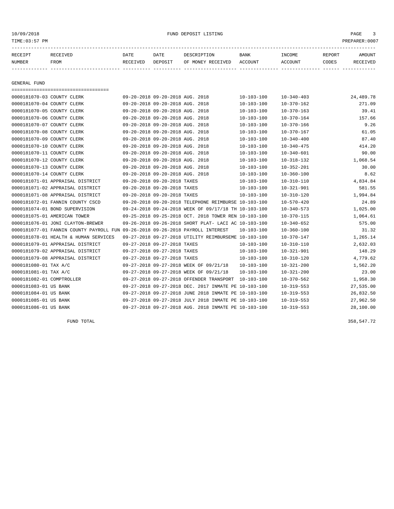## 10/09/2018 FUND DEPOSIT LISTING PAGE 3

| RECEIPT      | RECEIVED | DATE     | DATE    | DESCRIPTION       | <b>BANK</b> | INCOME  | REPORT | AMOUNT   |
|--------------|----------|----------|---------|-------------------|-------------|---------|--------|----------|
| NUMBER       | FROM     | RECEIVED | DEPOSIT | OF MONEY RECEIVED | ACCOUNT     | ACCOUNT | CODES  | RECEIVED |
|              |          |          |         |                   |             |         |        |          |
|              |          |          |         |                   |             |         |        |          |
| GENERAL FUND |          |          |         |                   |             |         |        |          |

===================================

| 0000181070-03 COUNTY CLERK            |                                                                                | 09-20-2018 09-20-2018 AUG. 2018 |                                                      | $10 - 103 - 100$ | $10 - 340 - 403$ | 24,489.78 |
|---------------------------------------|--------------------------------------------------------------------------------|---------------------------------|------------------------------------------------------|------------------|------------------|-----------|
| 0000181070-04 COUNTY CLERK            |                                                                                | 09-20-2018 09-20-2018 AUG. 2018 |                                                      | $10 - 103 - 100$ | 10-370-162       | 271.09    |
| 0000181070-05 COUNTY CLERK            |                                                                                | 09-20-2018 09-20-2018 AUG. 2018 |                                                      | $10 - 103 - 100$ | 10-370-163       | 39.41     |
| 0000181070-06 COUNTY CLERK            |                                                                                | 09-20-2018 09-20-2018 AUG. 2018 |                                                      | $10 - 103 - 100$ | $10 - 370 - 164$ | 157.66    |
| 0000181070-07 COUNTY CLERK            |                                                                                | 09-20-2018 09-20-2018 AUG. 2018 |                                                      | $10 - 103 - 100$ | $10 - 370 - 166$ | 9.26      |
| 0000181070-08 COUNTY CLERK            |                                                                                | 09-20-2018 09-20-2018 AUG. 2018 |                                                      | $10 - 103 - 100$ | $10 - 370 - 167$ | 61.05     |
| 0000181070-09 COUNTY CLERK            |                                                                                | 09-20-2018 09-20-2018 AUG. 2018 |                                                      | $10 - 103 - 100$ | $10 - 340 - 400$ | 87.40     |
| 0000181070-10 COUNTY CLERK            |                                                                                | 09-20-2018 09-20-2018 AUG. 2018 |                                                      | $10 - 103 - 100$ | $10 - 340 - 475$ | 414.20    |
| 0000181070-11 COUNTY CLERK            |                                                                                | 09-20-2018 09-20-2018 AUG. 2018 |                                                      | $10 - 103 - 100$ | $10 - 340 - 601$ | 90.00     |
| 0000181070-12 COUNTY CLERK            |                                                                                | 09-20-2018 09-20-2018 AUG. 2018 |                                                      | $10 - 103 - 100$ | 10-318-132       | 1,068.54  |
| 0000181070-13 COUNTY CLERK            |                                                                                | 09-20-2018 09-20-2018 AUG. 2018 |                                                      | 10-103-100       | $10 - 352 - 201$ | 30.00     |
| 0000181070-14 COUNTY CLERK            |                                                                                | 09-20-2018 09-20-2018 AUG. 2018 |                                                      | $10 - 103 - 100$ | $10 - 360 - 100$ | 8.62      |
| 0000181071-01 APPRAISAL DISTRICT      |                                                                                | 09-20-2018 09-20-2018 TAXES     |                                                      | $10 - 103 - 100$ | $10 - 310 - 110$ | 4,834.84  |
| 0000181071-02 APPRAISAL DISTRICT      |                                                                                | 09-20-2018 09-20-2018 TAXES     |                                                      | $10 - 103 - 100$ | $10 - 321 - 901$ | 581.55    |
| 0000181071-08 APPRAISAL DISTRICT      |                                                                                | 09-20-2018 09-20-2018 TAXES     |                                                      | $10 - 103 - 100$ | $10 - 310 - 120$ | 1,994.84  |
| 0000181072-01 FANNIN COUNTY CSCD      |                                                                                |                                 | 09-20-2018 09-20-2018 TELEPHONE REIMBURSE 10-103-100 |                  | $10 - 570 - 420$ | 24.89     |
| 0000181074-01 BOND SUPERVISION        |                                                                                |                                 | 09-24-2018 09-24-2018 WEEK OF 09/17/18 TH 10-103-100 |                  | $10 - 340 - 573$ | 1,025.00  |
| 0000181075-01 AMERICAN TOWER          |                                                                                |                                 | 09-25-2018 09-25-2018 OCT. 2018 TOWER REN 10-103-100 |                  | 10-370-115       | 1,064.61  |
| 0000181076-01 JONI CLAYTON-BREWER     |                                                                                |                                 | 09-26-2018 09-26-2018 SHORT PLAT- LACI AC 10-103-100 |                  | $10 - 340 - 652$ | 575.00    |
|                                       | 0000181077-01 FANNIN COUNTY PAYROLL FUN 09-26-2018 09-26-2018 PAYROLL INTEREST |                                 |                                                      | $10 - 103 - 100$ | 10-360-100       | 31.32     |
| 0000181078-01 HEALTH & HUMAN SERVICES |                                                                                |                                 | 09-27-2018 09-27-2018 UTILITY REIMBURSEME 10-103-100 |                  | $10 - 370 - 147$ | 1,265.14  |
| 0000181079-01 APPRAISAL DISTRICT      |                                                                                | 09-27-2018 09-27-2018 TAXES     |                                                      | $10 - 103 - 100$ | $10 - 310 - 110$ | 2,632.03  |
| 0000181079-02 APPRAISAL DISTRICT      |                                                                                | 09-27-2018 09-27-2018 TAXES     |                                                      | $10 - 103 - 100$ | $10 - 321 - 901$ | 148.29    |
| 0000181079-08 APPRAISAL DISTRICT      |                                                                                | 09-27-2018 09-27-2018 TAXES     |                                                      | 10-103-100       | 10-310-120       | 4,779.62  |
| 0000181080-01 TAX A/C                 |                                                                                |                                 | 09-27-2018 09-27-2018 WEEK OF 09/21/18               | $10 - 103 - 100$ | $10 - 321 - 200$ | 1,562.20  |
| 0000181081-01 TAX A/C                 |                                                                                |                                 | 09-27-2018 09-27-2018 WEEK OF 09/21/18               | $10 - 103 - 100$ | $10 - 321 - 200$ | 23.00     |
| 0000181082-01 COMPTROLLER             |                                                                                |                                 | 09-27-2018 09-27-2018 OFFENDER TRANSPORT             | 10-103-100       | $10 - 370 - 562$ | 1,958.30  |
| 0000181083-01 US BANK                 |                                                                                |                                 | 09-27-2018 09-27-2018 DEC. 2017 INMATE PE 10-103-100 |                  | $10 - 319 - 553$ | 27,535.00 |
| 0000181084-01 US BANK                 |                                                                                |                                 | 09-27-2018 09-27-2018 JUNE 2018 INMATE PE 10-103-100 |                  | $10 - 319 - 553$ | 26,832.50 |
| 0000181085-01 US BANK                 |                                                                                |                                 | 09-27-2018 09-27-2018 JULY 2018 INMATE PE 10-103-100 |                  | $10 - 319 - 553$ | 27,962.50 |
| 0000181086-01 US BANK                 |                                                                                |                                 | 09-27-2018 09-27-2018 AUG. 2018 INMATE PE 10-103-100 |                  | $10 - 319 - 553$ | 28,100.00 |

FUND TOTAL 358,547.72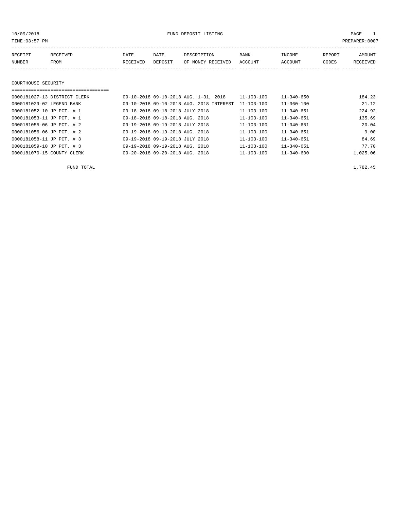10/09/2018 FUND DEPOSIT LISTING PAGE 1

| RECEIPT             | RECEIVED                     | DATE     | DATE    | DESCRIPTION                           | <b>BANK</b> | INCOME           | REPORT | AMOUNT   |
|---------------------|------------------------------|----------|---------|---------------------------------------|-------------|------------------|--------|----------|
| NUMBER              | FROM                         | RECEIVED | DEPOSIT | OF MONEY RECEIVED                     | ACCOUNT     | ACCOUNT          | CODES  | RECEIVED |
|                     |                              |          |         |                                       |             |                  |        |          |
| COURTHOUSE SECURITY |                              |          |         |                                       |             |                  |        |          |
|                     |                              |          |         |                                       |             |                  |        |          |
|                     | 0000181027-13 DISTRICT CLERK |          |         | 09-10-2018 09-10-2018 AUG. 1-31, 2018 | 11-103-100  | $11 - 340 - 650$ |        | 184.23   |

| 0000181029-02 LEGEND BANK  | 09-10-2018 09-10-2018 AUG. 2018 INTEREST 11-103-100 |                  | $11 - 360 - 100$ | 21.12    |
|----------------------------|-----------------------------------------------------|------------------|------------------|----------|
| 0000181052-10 JP PCT. # 1  | 09-18-2018 09-18-2018 JULY 2018                     | $11 - 103 - 100$ | $11 - 340 - 651$ | 224.92   |
| 0000181053-11 JP PCT. # 1  | 09-18-2018 09-18-2018 AUG. 2018                     | $11 - 103 - 100$ | $11 - 340 - 651$ | 135.69   |
| 0000181055-06 JP PCT. # 2  | 09-19-2018 09-19-2018 JULY 2018                     | $11 - 103 - 100$ | $11 - 340 - 651$ | 20.04    |
| 0000181056-06 JP PCT. # 2  | 09-19-2018 09-19-2018 AUG. 2018                     | 11-103-100       | $11 - 340 - 651$ | 9.00     |
| 0000181058-11 JP PCT. # 3  | 09-19-2018 09-19-2018 JULY 2018                     | $11 - 103 - 100$ | $11 - 340 - 651$ | 84.69    |
| 0000181059-10 JP PCT. # 3  | 09-19-2018 09-19-2018 AUG. 2018                     | $11 - 103 - 100$ | $11 - 340 - 651$ | 77.70    |
| 0000181070-15 COUNTY CLERK | 09-20-2018 09-20-2018 AUG. 2018                     | $11 - 103 - 100$ | $11 - 340 - 600$ | 1,025.06 |
|                            |                                                     |                  |                  |          |

FUND TOTAL 1,782.45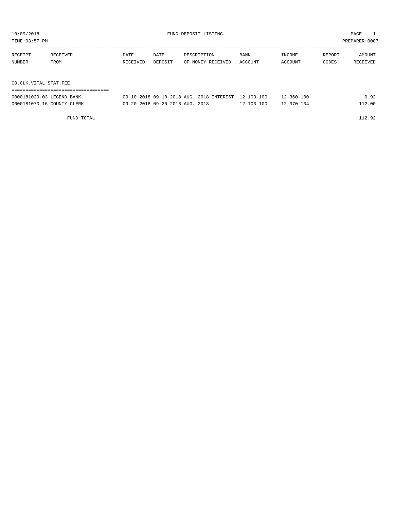| TIME:03:57 PM<br>PREPARER:0007 |                       |          |         |                   |             |         |        |          |  |  |  |  |
|--------------------------------|-----------------------|----------|---------|-------------------|-------------|---------|--------|----------|--|--|--|--|
|                                |                       |          |         |                   |             |         |        |          |  |  |  |  |
| RECEIPT                        | RECEIVED              | DATE     | DATE    | DESCRIPTION       | <b>BANK</b> | INCOME  | REPORT | AMOUNT   |  |  |  |  |
| NUMBER                         | FROM                  | RECEIVED | DEPOSIT | OF MONEY RECEIVED | ACCOUNT     | ACCOUNT | CODES  | RECEIVED |  |  |  |  |
|                                |                       |          |         |                   |             |         |        |          |  |  |  |  |
|                                |                       |          |         |                   |             |         |        |          |  |  |  |  |
|                                | CO.CLK.VITAL STAT.FEE |          |         |                   |             |         |        |          |  |  |  |  |
|                                |                       |          |         |                   |             |         |        |          |  |  |  |  |

| 0000181029-03 LEGEND BANK  | 09-10-2018 09-10-2018 AUG. 2018 INTEREST 12-103-100 |            | 12-360-100 |       |
|----------------------------|-----------------------------------------------------|------------|------------|-------|
| 0000181070-16 COUNTY CLERK | 09-20-2018 09-20-2018 AUG. 2018                     | 12-103-100 | 12-370-134 | 12.00 |

FUND TOTAL 112.92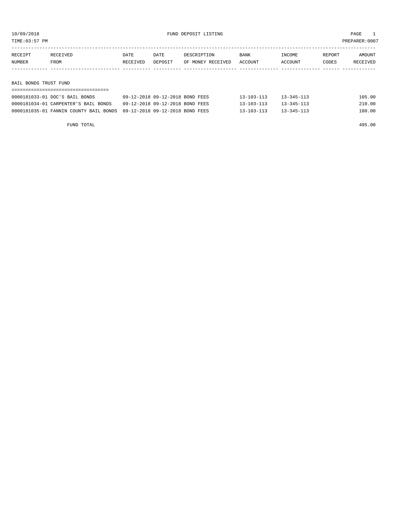TIME:03:57 PM PREPARER:0007

| RECEIPT | RECEIVED              | DATE     | DATE    | DESCRIPTION       | <b>BANK</b> | INCOME  | REPORT | AMOUNT   |  |  |  |
|---------|-----------------------|----------|---------|-------------------|-------------|---------|--------|----------|--|--|--|
| NUMBER  | FROM                  | RECEIVED | DEPOSIT | OF MONEY RECEIVED | ACCOUNT     | ACCOUNT | CODES  | RECEIVED |  |  |  |
|         |                       |          |         |                   |             |         |        |          |  |  |  |
|         |                       |          |         |                   |             |         |        |          |  |  |  |
|         | BAIL BONDS TRUST FUND |          |         |                   |             |         |        |          |  |  |  |

| 0000181033-01 DOC'S BAIL BONDS                                         | 09-12-2018 09-12-2018 BOND FEES | $13 - 103 - 113$ | $13 - 345 - 113$ | 105.00 |  |  |  |  |  |  |  |
|------------------------------------------------------------------------|---------------------------------|------------------|------------------|--------|--|--|--|--|--|--|--|
| 0000181034-01 CARPENTER'S BAIL BONDS                                   | 09-12-2018 09-12-2018 BOND FEES | $13 - 103 - 113$ | $13 - 345 - 113$ | 210.00 |  |  |  |  |  |  |  |
| 0000181035-01 FANNIN COUNTY BAIL BONDS 09-12-2018 09-12-2018 BOND FEES |                                 | $13 - 103 - 113$ | $13 - 345 - 113$ | 180.00 |  |  |  |  |  |  |  |

FUND TOTAL 495.00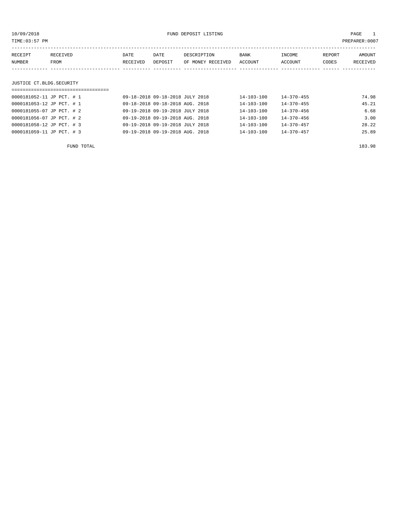| 10/09/2018                |                                   | FUND DEPOSIT LISTING |                                 |                   |                  |                  |        | PAGE          |
|---------------------------|-----------------------------------|----------------------|---------------------------------|-------------------|------------------|------------------|--------|---------------|
| TIME:03:57 PM             |                                   |                      |                                 |                   |                  |                  |        | PREPARER:0007 |
| RECEIPT                   | RECEIVED                          | DATE                 | DATE                            | DESCRIPTION       | BANK             | INCOME           | REPORT | AMOUNT        |
| NUMBER                    | FROM                              | RECEIVED             | DEPOSIT                         | OF MONEY RECEIVED | ACCOUNT          | ACCOUNT          | CODES  | RECEIVED      |
|                           |                                   |                      |                                 |                   |                  |                  |        |               |
| JUSTICE CT.BLDG.SECURITY  |                                   |                      |                                 |                   |                  |                  |        |               |
|                           | ================================= |                      |                                 |                   |                  |                  |        |               |
| 0000181052-11 JP PCT. # 1 |                                   |                      | 09-18-2018 09-18-2018 JULY 2018 |                   | 14-103-100       | $14 - 370 - 455$ |        | 74.98         |
| 0000181053-12 JP PCT. # 1 |                                   |                      | 09-18-2018 09-18-2018 AUG. 2018 |                   | $14 - 103 - 100$ | $14 - 370 - 455$ |        | 45.21         |
| 0000181055-07 JP PCT. # 2 |                                   |                      | 09-19-2018 09-19-2018 JULY 2018 |                   | $14 - 103 - 100$ | $14 - 370 - 456$ |        | 6.68          |
| 0000181056-07 JP PCT. # 2 |                                   |                      | 09-19-2018 09-19-2018 AUG. 2018 |                   | $14 - 103 - 100$ | $14 - 370 - 456$ |        | 3.00          |
| 0000181058-12 JP PCT. # 3 |                                   |                      | 09-19-2018 09-19-2018 JULY 2018 |                   | 14-103-100       | $14 - 370 - 457$ |        | 28.22         |
| 0000181059-11 JP PCT. # 3 |                                   |                      | 09-19-2018 09-19-2018 AUG. 2018 |                   | $14 - 103 - 100$ | $14 - 370 - 457$ |        | 25.89         |
|                           |                                   |                      |                                 |                   |                  |                  |        |               |

FUND TOTAL 183.98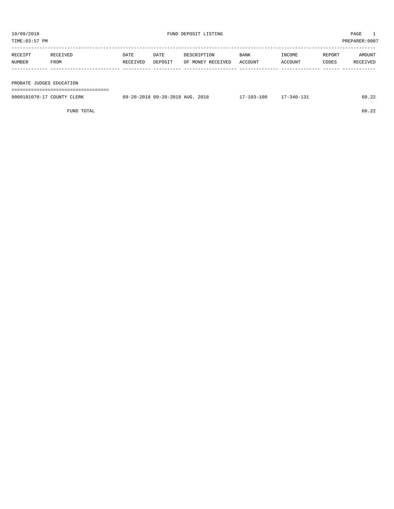TIME:03:57 PM PREPARER:0007 ----------------------------------------------------------------------------------------------------------------------------------- RECEIPT RECEIVED DATE DATE DESCRIPTION BANK INCOME REPORT AMOUNT

| NUMBER                     | FROM | RECEIVED | DEPOSIT                         | OF MONEY RECEIVED | ACCOUNT          | ACCOUNT          | CODES | RECEIVED |
|----------------------------|------|----------|---------------------------------|-------------------|------------------|------------------|-------|----------|
|                            |      |          |                                 |                   |                  |                  |       |          |
|                            |      |          |                                 |                   |                  |                  |       |          |
| PROBATE JUDGES EDUCATION   |      |          |                                 |                   |                  |                  |       |          |
|                            |      |          |                                 |                   |                  |                  |       |          |
| 0000181070-17 COUNTY CLERK |      |          | 09-20-2018 09-20-2018 AUG. 2018 |                   | $17 - 103 - 100$ | $17 - 340 - 131$ |       | 60.22    |
|                            |      |          |                                 |                   |                  |                  |       |          |

FUND TOTAL 60.22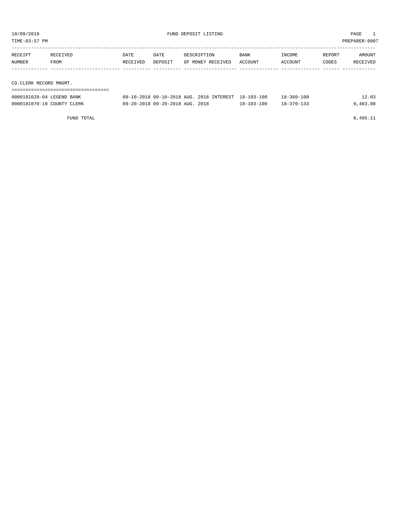| 10/09/2018<br>TIME:03:57 PM                         |                  |                  |                 | FUND DEPOSIT LISTING                                | PAGE<br>PREPARER: 0007 |                   |                 |                    |
|-----------------------------------------------------|------------------|------------------|-----------------|-----------------------------------------------------|------------------------|-------------------|-----------------|--------------------|
| RECEIPT<br>NUMBER                                   | RECEIVED<br>FROM | DATE<br>RECEIVED | DATE<br>DEPOSIT | DESCRIPTION<br>OF MONEY RECEIVED                    | <b>BANK</b><br>ACCOUNT | INCOME<br>ACCOUNT | REPORT<br>CODES | AMOUNT<br>RECEIVED |
| CO.CLERK RECORD MNGMT.<br>0000181029-04 LEGEND BANK |                  |                  |                 | 09-10-2018 09-10-2018 AUG. 2018 INTEREST 18-103-100 |                        | $18 - 360 - 100$  |                 | 12.03              |

| 0000181070-18 COUNTY CLERK | 09-20-2018 09-20-2018 AUG. 2018 | 18-103-100 | $18 - 370 - 133$ | 8,483.08 |
|----------------------------|---------------------------------|------------|------------------|----------|
|                            |                                 |            |                  |          |
| FUND TOTAL                 |                                 |            |                  | 8,495.11 |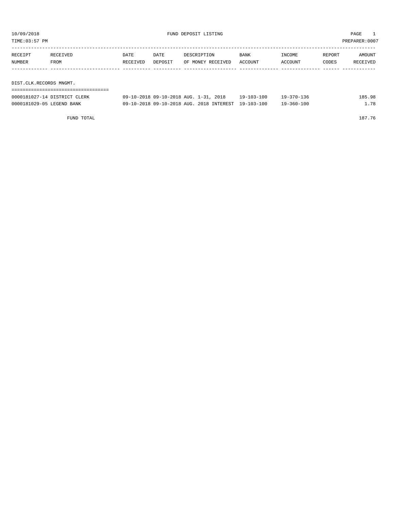| TIME:03:57 PM<br>PREPARER: 0007 |                              |          |                                       |                   |  |            |            |        |          |  |
|---------------------------------|------------------------------|----------|---------------------------------------|-------------------|--|------------|------------|--------|----------|--|
| RECEIPT                         | RECEIVED                     | DATE     | DATE                                  | DESCRIPTION       |  | BANK       | INCOME     | REPORT | AMOUNT   |  |
| NUMBER                          | FROM                         | RECEIVED | DEPOSIT                               | OF MONEY RECEIVED |  | ACCOUNT    | ACCOUNT    | CODES  | RECEIVED |  |
|                                 |                              |          |                                       |                   |  |            |            |        |          |  |
| DIST.CLK.RECORDS MNGMT.         |                              |          |                                       |                   |  |            |            |        |          |  |
|                                 |                              |          |                                       |                   |  |            |            |        |          |  |
|                                 | 0000181027-14 DISTRICT CLERK |          | 09-10-2018 09-10-2018 AUG. 1-31, 2018 |                   |  | 19-103-100 | 19-370-136 |        | 185.98   |  |

0000181029-05 LEGEND BANK 609-10-2018 09-10-2018 AUG. 2018 INTEREST 19-103-100 19-360-100 19-360-100

FUND TOTAL 187.76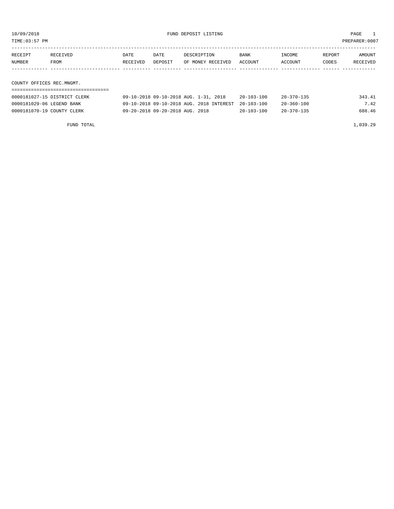| TIME: 03:57 PM            |                              |                  |                                          |                                  |  |                        |                   |                 | PREPARER:0007      |  |
|---------------------------|------------------------------|------------------|------------------------------------------|----------------------------------|--|------------------------|-------------------|-----------------|--------------------|--|
| RECEIPT<br><b>NUMBER</b>  | RECEIVED<br>FROM             | DATE<br>RECEIVED | DATE<br>DEPOSIT                          | DESCRIPTION<br>OF MONEY RECEIVED |  | <b>BANK</b><br>ACCOUNT | INCOME<br>ACCOUNT | REPORT<br>CODES | AMOUNT<br>RECEIVED |  |
|                           |                              |                  |                                          |                                  |  |                        |                   |                 |                    |  |
| COUNTY OFFICES REC.MNGMT. |                              |                  |                                          |                                  |  |                        |                   |                 |                    |  |
|                           |                              |                  |                                          |                                  |  |                        |                   |                 |                    |  |
|                           | 0000181027-15 DISTRICT CLERK |                  | 09-10-2018 09-10-2018 AUG. 1-31, 2018    |                                  |  | 20-103-100             | $20 - 370 - 135$  |                 | 343.41             |  |
| 0000181029-06 LEGEND BANK |                              |                  | 09-10-2018 09-10-2018 AUG. 2018 INTEREST |                                  |  | $20 - 103 - 100$       | $20 - 360 - 100$  |                 | 7.42               |  |

0000181070-19 COUNTY CLERK 09-20-2018 09-20-2018 AUG. 2018 20-103-100 20-370-135 688.46

FUND TOTAL 1,039.29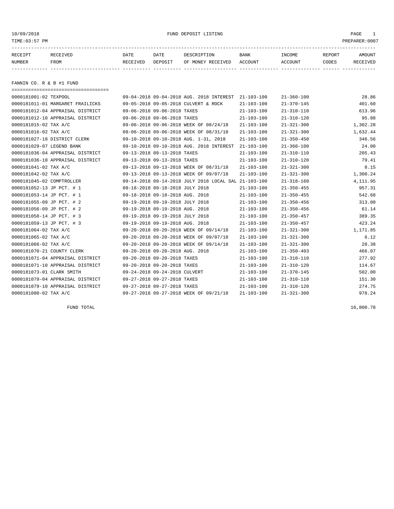## 10/09/2018 FUND DEPOSIT LISTING PAGE 1

| RECEIPT | <b>RECEIVED</b> | DATE     | DATE    | DESCRIPTION       | BANK    | INCOME  | REPORT | <b>AMOUNT</b>   |
|---------|-----------------|----------|---------|-------------------|---------|---------|--------|-----------------|
| NUMBER  | FROM            | RECEIVED | DEPOSIT | OF MONEY RECEIVED | ACCOUNT | ACCOUNT | CODES  | <b>RECEIVED</b> |
|         |                 |          |         |                   |         |         |        |                 |

FANNIN CO. R & B #1 FUND

| ------------------------------------- |                                                      |                  |                  |           |
|---------------------------------------|------------------------------------------------------|------------------|------------------|-----------|
| 0000181001-02 TEXPOOL                 | 09-04-2018 09-04-2018 AUG. 2018 INTEREST 21-103-100  |                  | $21 - 360 - 100$ | 28.86     |
| 0000181011-01 MARGARET FRAILICKS      | 09-05-2018 09-05-2018 CULVERT & ROCK                 | $21 - 103 - 100$ | $21 - 370 - 145$ | 401.60    |
| 0000181012-04 APPRAISAL DISTRICT      | 09-06-2018 09-06-2018 TAXES                          | $21 - 103 - 100$ | $21 - 310 - 110$ | 613.96    |
| 0000181012-10 APPRAISAL DISTRICT      | 09-06-2018 09-06-2018 TAXES                          | $21 - 103 - 100$ | $21 - 310 - 120$ | 95.88     |
| 0000181015-02 TAX A/C                 | 09-06-2018 09-06-2018 WEEK OF 08/24/18               | $21 - 103 - 100$ | $21 - 321 - 300$ | 1,302.28  |
| 0000181016-02 TAX A/C                 | 09-06-2018 09-06-2018 WEEK OF 08/31/18               | $21 - 103 - 100$ | $21 - 321 - 300$ | 1,632.44  |
| 0000181027-18 DISTRICT CLERK          | 09-10-2018 09-10-2018 AUG. 1-31, 2018                | $21 - 103 - 100$ | $21 - 350 - 450$ | 346.56    |
| 0000181029-07 LEGEND BANK             | 09-10-2018 09-10-2018 AUG. 2018 INTEREST             | 21-103-100       | 21-360-100       | 24.00     |
| 0000181036-04 APPRAISAL DISTRICT      | 09-13-2018 09-13-2018 TAXES                          | $21 - 103 - 100$ | $21 - 310 - 110$ | 205.43    |
| 0000181036-10 APPRAISAL DISTRICT      | 09-13-2018 09-13-2018 TAXES                          | $21 - 103 - 100$ | $21 - 310 - 120$ | 79.41     |
| 0000181041-02 TAX A/C                 | 09-13-2018 09-13-2018 WEEK OF 08/31/18               | $21 - 103 - 100$ | $21 - 321 - 300$ | 8.15      |
| 0000181042-02 TAX A/C                 | 09-13-2018 09-13-2018 WEEK OF 09/07/18               | $21 - 103 - 100$ | $21 - 321 - 300$ | 1,300.24  |
| 0000181045-02 COMPTROLLER             | 09-14-2018 09-14-2018 JULY 2018 LOCAL SAL 21-103-100 |                  | $21 - 318 - 160$ | 4, 111.95 |
| 0000181052-13 JP PCT. # 1             | 09-18-2018 09-18-2018 JULY 2018                      | $21 - 103 - 100$ | $21 - 350 - 455$ | 957.31    |
| 0000181053-14 JP PCT. # 1             | 09-18-2018 09-18-2018 AUG. 2018                      | $21 - 103 - 100$ | $21 - 350 - 455$ | 542.68    |
| 0000181055-09 JP PCT. # 2             | 09-19-2018 09-19-2018 JULY 2018                      | $21 - 103 - 100$ | $21 - 350 - 456$ | 313.00    |
| 0000181056-09 JP PCT. # 2             | 09-19-2018 09-19-2018 AUG. 2018                      | $21 - 103 - 100$ | $21 - 350 - 456$ | 61.14     |
| 0000181058-14 JP PCT. # 3             | 09-19-2018 09-19-2018 JULY 2018                      | $21 - 103 - 100$ | $21 - 350 - 457$ | 389.35    |
| 0000181059-13 JP PCT. # 3             | 09-19-2018 09-19-2018 AUG. 2018                      | $21 - 103 - 100$ | $21 - 350 - 457$ | 423.24    |
| 0000181064-02 TAX A/C                 | 09-20-2018 09-20-2018 WEEK OF 09/14/18               | $21 - 103 - 100$ | $21 - 321 - 300$ | 1,171.85  |
| 0000181065-02 TAX A/C                 | 09-20-2018 09-20-2018 WEEK OF 09/07/18               | $21 - 103 - 100$ | $21 - 321 - 300$ | 6.12      |
| 0000181066-02 TAX A/C                 | 09-20-2018 09-20-2018 WEEK OF 09/14/18               | $21 - 103 - 100$ | $21 - 321 - 300$ | 20.38     |
| 0000181070-21 COUNTY CLERK            | 09-20-2018 09-20-2018 AUG. 2018                      | $21 - 103 - 100$ | $21 - 350 - 403$ | 466.07    |
| 0000181071-04 APPRAISAL DISTRICT      | 09-20-2018 09-20-2018 TAXES                          | $21 - 103 - 100$ | $21 - 310 - 110$ | 277.92    |
| 0000181071-10 APPRAISAL DISTRICT      | 09-20-2018 09-20-2018 TAXES                          | $21 - 103 - 100$ | $21 - 310 - 120$ | 114.67    |
| 0000181073-01 CLARK SMITH             | 09-24-2018 09-24-2018 CULVERT                        | $21 - 103 - 100$ | $21 - 370 - 145$ | 502.00    |
| 0000181079-04 APPRAISAL DISTRICT      | 09-27-2018 09-27-2018 TAXES                          | $21 - 103 - 100$ | $21 - 310 - 110$ | 151.30    |
| 0000181079-10 APPRAISAL DISTRICT      | 09-27-2018 09-27-2018 TAXES                          | $21 - 103 - 100$ | $21 - 310 - 120$ | 274.75    |
| 0000181080-02 TAX A/C                 | 09-27-2018 09-27-2018 WEEK OF 09/21/18               | $21 - 103 - 100$ | $21 - 321 - 300$ | 978.24    |

 $FUND$  TOTAL  $16,800.78$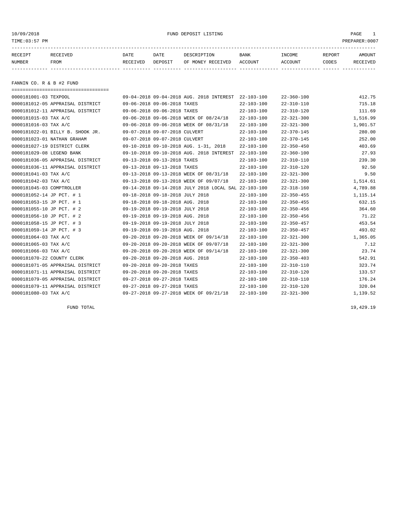## 10/09/2018 FUND DEPOSIT LISTING PAGE 1

| RECEIPT | <b>RECEIVED</b> | DATE     | DATE    | DESCRIPTION          | <b>BANK</b>    | INCOME  | <b>REPORT</b> | AMOUNT          |
|---------|-----------------|----------|---------|----------------------|----------------|---------|---------------|-----------------|
| NUMBER  | FROM            | RECEIVED | DEPOSIT | RECEIVED<br>OF MONEY | <b>ACCOUNT</b> | ACCOUNT | CODES         | <b>RECEIVED</b> |
|         |                 |          |         |                      |                |         |               |                 |

FANNIN CO. R & B #2 FUND

| ------------------------------------- |                                                      |                  |                  |          |
|---------------------------------------|------------------------------------------------------|------------------|------------------|----------|
| 0000181001-03 TEXPOOL                 | 09-04-2018 09-04-2018 AUG. 2018 INTEREST 22-103-100  |                  | $22 - 360 - 100$ | 412.75   |
| 0000181012-05 APPRAISAL DISTRICT      | 09-06-2018 09-06-2018 TAXES                          | $22 - 103 - 100$ | $22 - 310 - 110$ | 715.18   |
| 0000181012-11 APPRAISAL DISTRICT      | 09-06-2018 09-06-2018 TAXES                          | $22 - 103 - 100$ | $22 - 310 - 120$ | 111.69   |
| 0000181015-03 TAX A/C                 | 09-06-2018 09-06-2018 WEEK OF 08/24/18               | $22 - 103 - 100$ | $22 - 321 - 300$ | 1,516.99 |
| 0000181016-03 TAX A/C                 | 09-06-2018 09-06-2018 WEEK OF 08/31/18               | $22 - 103 - 100$ | $22 - 321 - 300$ | 1,901.57 |
| 0000181022-01 BILLY B. SHOOK JR.      | 09-07-2018 09-07-2018 CULVERT                        | $22 - 103 - 100$ | $22 - 370 - 145$ | 280.00   |
| 0000181023-01 NATHAN GRAHAM           | 09-07-2018 09-07-2018 CULVERT                        | $22 - 103 - 100$ | $22 - 370 - 145$ | 252.00   |
| 0000181027-19 DISTRICT CLERK          | 09-10-2018 09-10-2018 AUG. 1-31, 2018                | $22 - 103 - 100$ | $22 - 350 - 450$ | 403.69   |
| 0000181029-08 LEGEND BANK             | 09-10-2018 09-10-2018 AUG. 2018 INTEREST             | $22 - 103 - 100$ | $22 - 360 - 100$ | 27.93    |
| 0000181036-05 APPRAISAL DISTRICT      | 09-13-2018 09-13-2018 TAXES                          | $22 - 103 - 100$ | $22 - 310 - 110$ | 239.30   |
| 0000181036-11 APPRAISAL DISTRICT      | 09-13-2018 09-13-2018 TAXES                          | $22 - 103 - 100$ | $22 - 310 - 120$ | 92.50    |
| 0000181041-03 TAX A/C                 | 09-13-2018 09-13-2018 WEEK OF 08/31/18               | $22 - 103 - 100$ | $22 - 321 - 300$ | 9.50     |
| 0000181042-03 TAX A/C                 | 09-13-2018 09-13-2018 WEEK OF 09/07/18               | $22 - 103 - 100$ | $22 - 321 - 300$ | 1,514.61 |
| 0000181045-03 COMPTROLLER             | 09-14-2018 09-14-2018 JULY 2018 LOCAL SAL 22-103-100 |                  | $22 - 318 - 160$ | 4,789.88 |
| 0000181052-14 JP PCT. # 1             | 09-18-2018 09-18-2018 JULY 2018                      | $22 - 103 - 100$ | $22 - 350 - 455$ | 1,115.14 |
| 0000181053-15 JP PCT. # 1             | 09-18-2018 09-18-2018 AUG. 2018                      | $22 - 103 - 100$ | $22 - 350 - 455$ | 632.15   |
| 0000181055-10 JP PCT. # 2             | 09-19-2018 09-19-2018 JULY 2018                      | $22 - 103 - 100$ | $22 - 350 - 456$ | 364.60   |
| 0000181056-10 JP PCT. # 2             | 09-19-2018 09-19-2018 AUG. 2018                      | $22 - 103 - 100$ | $22 - 350 - 456$ | 71.22    |
| 0000181058-15 JP PCT. # 3             | 09-19-2018 09-19-2018 JULY 2018                      | $22 - 103 - 100$ | $22 - 350 - 457$ | 453.54   |
| 0000181059-14 JP PCT. # 3             | 09-19-2018 09-19-2018 AUG. 2018                      | $22 - 103 - 100$ | $22 - 350 - 457$ | 493.02   |
| 0000181064-03 TAX A/C                 | 09-20-2018 09-20-2018 WEEK OF 09/14/18               | $22 - 103 - 100$ | $22 - 321 - 300$ | 1,365.05 |
| 0000181065-03 TAX A/C                 | 09-20-2018 09-20-2018 WEEK OF 09/07/18               | $22 - 103 - 100$ | $22 - 321 - 300$ | 7.12     |
| 0000181066-03 TAX A/C                 | 09-20-2018 09-20-2018 WEEK OF 09/14/18               | $22 - 103 - 100$ | $22 - 321 - 300$ | 23.74    |
| 0000181070-22 COUNTY CLERK            | 09-20-2018 09-20-2018 AUG. 2018                      | $22 - 103 - 100$ | $22 - 350 - 403$ | 542.91   |
| 0000181071-05 APPRAISAL DISTRICT      | 09-20-2018 09-20-2018 TAXES                          | $22 - 103 - 100$ | $22 - 310 - 110$ | 323.74   |
| 0000181071-11 APPRAISAL DISTRICT      | 09-20-2018 09-20-2018 TAXES                          | $22 - 103 - 100$ | $22 - 310 - 120$ | 133.57   |
| 0000181079-05 APPRAISAL DISTRICT      | 09-27-2018 09-27-2018 TAXES                          | $22 - 103 - 100$ | $22 - 310 - 110$ | 176.24   |
| 0000181079-11 APPRAISAL DISTRICT      | 09-27-2018 09-27-2018 TAXES                          | $22 - 103 - 100$ | $22 - 310 - 120$ | 320.04   |
| 0000181080-03 TAX A/C                 | 09-27-2018 09-27-2018 WEEK OF 09/21/18               | $22 - 103 - 100$ | $22 - 321 - 300$ | 1,139.52 |

FUND TOTAL  $19,429.19$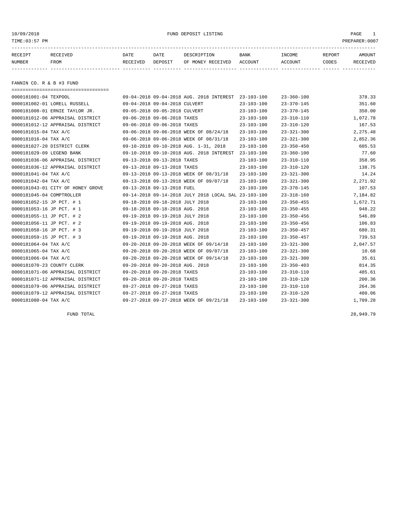10/09/2018 FUND DEPOSIT LISTING PAGE 1

| RECEIPT | <b>RECEIVED</b> | DATE     | DATE    | DESCRIPTION          | <b>BANK</b>    | INCOME  | <b>REPORT</b> | AMOUNT          |
|---------|-----------------|----------|---------|----------------------|----------------|---------|---------------|-----------------|
| NUMBER  | FROM            | RECEIVED | DEPOSIT | RECEIVED<br>OF MONEY | <b>ACCOUNT</b> | ACCOUNT | CODES         | <b>RECEIVED</b> |
|         |                 |          |         |                      |                |         |               |                 |

FANNIN CO. R & B #3 FUND

| ====================================== |                                 |                                                      |                  |                  |           |
|----------------------------------------|---------------------------------|------------------------------------------------------|------------------|------------------|-----------|
| 0000181001-04 TEXPOOL                  |                                 | 09-04-2018 09-04-2018 AUG. 2018 INTEREST 23-103-100  |                  | $23 - 360 - 100$ | 378.33    |
| 0000181002-01 LORELL RUSSELL           | 09-04-2018 09-04-2018 CULVERT   |                                                      | $23 - 103 - 100$ | $23 - 370 - 145$ | 351.60    |
| 0000181008-01 ERNIE TAYLOR JR.         | 09-05-2018 09-05-2018 CULVERT   |                                                      | $23 - 103 - 100$ | $23 - 370 - 145$ | 350.00    |
| 0000181012-06 APPRAISAL DISTRICT       | 09-06-2018 09-06-2018 TAXES     |                                                      | $23 - 103 - 100$ | $23 - 310 - 110$ | 1,072.78  |
| 0000181012-12 APPRAISAL DISTRICT       | 09-06-2018 09-06-2018 TAXES     |                                                      | $23 - 103 - 100$ | $23 - 310 - 120$ | 167.53    |
| 0000181015-04 TAX A/C                  |                                 | 09-06-2018 09-06-2018 WEEK OF 08/24/18               | $23 - 103 - 100$ | $23 - 321 - 300$ | 2, 275.48 |
| 0000181016-04 TAX A/C                  |                                 | 09-06-2018 09-06-2018 WEEK OF 08/31/18               | $23 - 103 - 100$ | $23 - 321 - 300$ | 2,852.36  |
| 0000181027-20 DISTRICT CLERK           |                                 | 09-10-2018 09-10-2018 AUG. 1-31, 2018                | $23 - 103 - 100$ | $23 - 350 - 450$ | 605.53    |
| 0000181029-09 LEGEND BANK              |                                 | 09-10-2018 09-10-2018 AUG. 2018 INTEREST             | 23-103-100       | $23 - 360 - 100$ | 77.60     |
| 0000181036-06 APPRAISAL DISTRICT       | 09-13-2018 09-13-2018 TAXES     |                                                      | $23 - 103 - 100$ | $23 - 310 - 110$ | 358.95    |
| 0000181036-12 APPRAISAL DISTRICT       | 09-13-2018 09-13-2018 TAXES     |                                                      | $23 - 103 - 100$ | $23 - 310 - 120$ | 138.75    |
| 0000181041-04 TAX A/C                  |                                 | 09-13-2018 09-13-2018 WEEK OF 08/31/18               | $23 - 103 - 100$ | $23 - 321 - 300$ | 14.24     |
| 0000181042-04 TAX A/C                  |                                 | 09-13-2018 09-13-2018 WEEK OF 09/07/18               | $23 - 103 - 100$ | $23 - 321 - 300$ | 2,271.92  |
| 0000181043-01 CITY OF HONEY GROVE      | 09-13-2018 09-13-2018 FUEL      |                                                      | $23 - 103 - 100$ | $23 - 370 - 145$ | 107.53    |
| 0000181045-04 COMPTROLLER              |                                 | 09-14-2018 09-14-2018 JULY 2018 LOCAL SAL 23-103-100 |                  | $23 - 318 - 160$ | 7,184.82  |
| 0000181052-15 JP PCT. # 1              | 09-18-2018 09-18-2018 JULY 2018 |                                                      | $23 - 103 - 100$ | $23 - 350 - 455$ | 1,672.71  |
| 0000181053-16 JP PCT. # 1              | 09-18-2018 09-18-2018 AUG. 2018 |                                                      | $23 - 103 - 100$ | $23 - 350 - 455$ | 948.22    |
| 0000181055-11 JP PCT. # 2              | 09-19-2018 09-19-2018 JULY 2018 |                                                      | $23 - 103 - 100$ | $23 - 350 - 456$ | 546.89    |
| 0000181056-11 JP PCT. # 2              | 09-19-2018 09-19-2018 AUG. 2018 |                                                      | $23 - 103 - 100$ | $23 - 350 - 456$ | 106.83    |
| 0000181058-16 JP PCT. # 3              | 09-19-2018 09-19-2018 JULY 2018 |                                                      | $23 - 103 - 100$ | $23 - 350 - 457$ | 680.31    |
| 0000181059-15 JP PCT. # 3              | 09-19-2018 09-19-2018 AUG. 2018 |                                                      | $23 - 103 - 100$ | $23 - 350 - 457$ | 739.53    |
| 0000181064-04 TAX A/C                  |                                 | 09-20-2018 09-20-2018 WEEK OF 09/14/18               | $23 - 103 - 100$ | $23 - 321 - 300$ | 2,047.57  |
| 0000181065-04 TAX A/C                  |                                 | 09-20-2018 09-20-2018 WEEK OF 09/07/18               | $23 - 103 - 100$ | $23 - 321 - 300$ | 10.68     |
| 0000181066-04 TAX A/C                  |                                 | 09-20-2018 09-20-2018 WEEK OF 09/14/18               | $23 - 103 - 100$ | $23 - 321 - 300$ | 35.61     |
| 0000181070-23 COUNTY CLERK             | 09-20-2018 09-20-2018 AUG. 2018 |                                                      | $23 - 103 - 100$ | $23 - 350 - 403$ | 814.35    |
| 0000181071-06 APPRAISAL DISTRICT       | 09-20-2018 09-20-2018 TAXES     |                                                      | $23 - 103 - 100$ | $23 - 310 - 110$ | 485.61    |
| 0000181071-12 APPRAISAL DISTRICT       | 09-20-2018 09-20-2018 TAXES     |                                                      | $23 - 103 - 100$ | $23 - 310 - 120$ | 200.36    |
| 0000181079-06 APPRAISAL DISTRICT       | 09-27-2018 09-27-2018 TAXES     |                                                      | $23 - 103 - 100$ | $23 - 310 - 110$ | 264.36    |
| 0000181079-12 APPRAISAL DISTRICT       | 09-27-2018 09-27-2018 TAXES     |                                                      | $23 - 103 - 100$ | $23 - 310 - 120$ | 480.06    |
| 0000181080-04 TAX A/C                  |                                 | 09-27-2018 09-27-2018 WEEK OF 09/21/18               | $23 - 103 - 100$ | $23 - 321 - 300$ | 1,709.28  |

FUND TOTAL 28,949.79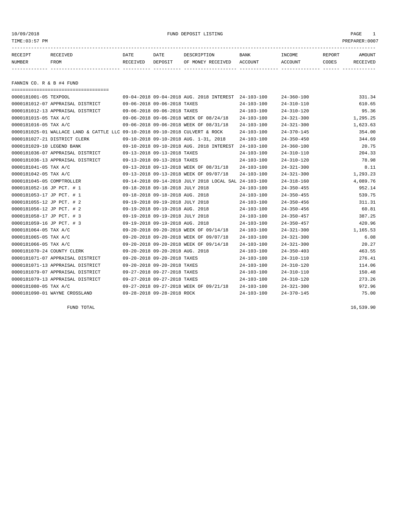## 10/09/2018 FUND DEPOSIT LISTING PAGE 1

| RECEIPT | RECEIVED | DATE     | DATE    | DESCRIPTION       | <b>BANK</b> | <b>TNCOME</b> | REPORT | AMOUNT   |
|---------|----------|----------|---------|-------------------|-------------|---------------|--------|----------|
| NUMBER  | FROM     | RECEIVED | DEPOSIT | OF MONEY RECEIVED | ACCOUNT     | ACCOUNT       | CODES  | RECEIVED |
|         |          |          |         |                   |             |               |        |          |

FANNIN CO. R & B #4 FUND

| ======================================                                       |                                 |                                                      |                  |                  |          |
|------------------------------------------------------------------------------|---------------------------------|------------------------------------------------------|------------------|------------------|----------|
| 0000181001-05 TEXPOOL                                                        |                                 | 09-04-2018 09-04-2018 AUG. 2018 INTEREST 24-103-100  |                  | $24 - 360 - 100$ | 331.34   |
| 0000181012-07 APPRAISAL DISTRICT                                             | 09-06-2018 09-06-2018 TAXES     |                                                      | $24 - 103 - 100$ | $24 - 310 - 110$ | 610.65   |
| 0000181012-13 APPRAISAL DISTRICT                                             | 09-06-2018 09-06-2018 TAXES     |                                                      | $24 - 103 - 100$ | $24 - 310 - 120$ | 95.36    |
| 0000181015-05 TAX A/C                                                        |                                 | 09-06-2018 09-06-2018 WEEK OF 08/24/18               | $24 - 103 - 100$ | $24 - 321 - 300$ | 1,295.25 |
| 0000181016-05 TAX A/C                                                        |                                 | 09-06-2018 09-06-2018 WEEK OF 08/31/18               | $24 - 103 - 100$ | $24 - 321 - 300$ | 1,623.63 |
| 0000181025-01 WALLACE LAND & CATTLE LLC 09-10-2018 09-10-2018 CULVERT & ROCK |                                 |                                                      | $24 - 103 - 100$ | $24 - 370 - 145$ | 354.00   |
| 0000181027-21 DISTRICT CLERK                                                 |                                 | 09-10-2018 09-10-2018 AUG. 1-31, 2018                | $24 - 103 - 100$ | $24 - 350 - 450$ | 344.69   |
| 0000181029-10 LEGEND BANK                                                    |                                 | 09-10-2018 09-10-2018 AUG. 2018 INTEREST             | $24 - 103 - 100$ | $24 - 360 - 100$ | 20.75    |
| 0000181036-07 APPRAISAL DISTRICT                                             | 09-13-2018 09-13-2018 TAXES     |                                                      | $24 - 103 - 100$ | $24 - 310 - 110$ | 204.33   |
| 0000181036-13 APPRAISAL DISTRICT                                             | 09-13-2018 09-13-2018 TAXES     |                                                      | $24 - 103 - 100$ | $24 - 310 - 120$ | 78.98    |
| 0000181041-05 TAX A/C                                                        |                                 | 09-13-2018 09-13-2018 WEEK OF 08/31/18               | $24 - 103 - 100$ | $24 - 321 - 300$ | 8.11     |
| 0000181042-05 TAX A/C                                                        |                                 | 09-13-2018 09-13-2018 WEEK OF 09/07/18               | $24 - 103 - 100$ | $24 - 321 - 300$ | 1,293.23 |
| 0000181045-05 COMPTROLLER                                                    |                                 | 09-14-2018 09-14-2018 JULY 2018 LOCAL SAL 24-103-100 |                  | $24 - 318 - 160$ | 4,089.76 |
| 0000181052-16 JP PCT. # 1                                                    | 09-18-2018 09-18-2018 JULY 2018 |                                                      | $24 - 103 - 100$ | $24 - 350 - 455$ | 952.14   |
| 0000181053-17 JP PCT. # 1                                                    | 09-18-2018 09-18-2018 AUG. 2018 |                                                      | $24 - 103 - 100$ | $24 - 350 - 455$ | 539.75   |
| 0000181055-12 JP PCT. # 2                                                    | 09-19-2018 09-19-2018 JULY 2018 |                                                      | $24 - 103 - 100$ | $24 - 350 - 456$ | 311.31   |
| 0000181056-12 JP PCT. # 2                                                    | 09-19-2018 09-19-2018 AUG. 2018 |                                                      | $24 - 103 - 100$ | $24 - 350 - 456$ | 60.81    |
| 0000181058-17 JP PCT. # 3                                                    | 09-19-2018 09-19-2018 JULY 2018 |                                                      | $24 - 103 - 100$ | $24 - 350 - 457$ | 387.25   |
| 0000181059-16 JP PCT. # 3                                                    | 09-19-2018 09-19-2018 AUG. 2018 |                                                      | $24 - 103 - 100$ | $24 - 350 - 457$ | 420.96   |
| 0000181064-05 TAX A/C                                                        |                                 | 09-20-2018 09-20-2018 WEEK OF 09/14/18               | $24 - 103 - 100$ | $24 - 321 - 300$ | 1,165.53 |
| 0000181065-05 TAX A/C                                                        |                                 | 09-20-2018 09-20-2018 WEEK OF 09/07/18               | $24 - 103 - 100$ | $24 - 321 - 300$ | 6.08     |
| 0000181066-05 TAX A/C                                                        |                                 | 09-20-2018 09-20-2018 WEEK OF 09/14/18               | $24 - 103 - 100$ | $24 - 321 - 300$ | 20.27    |
| 0000181070-24 COUNTY CLERK                                                   | 09-20-2018 09-20-2018 AUG. 2018 |                                                      | $24 - 103 - 100$ | $24 - 350 - 403$ | 463.55   |
| 0000181071-07 APPRAISAL DISTRICT                                             | 09-20-2018 09-20-2018 TAXES     |                                                      | $24 - 103 - 100$ | $24 - 310 - 110$ | 276.41   |
| 0000181071-13 APPRAISAL DISTRICT                                             | 09-20-2018 09-20-2018 TAXES     |                                                      | $24 - 103 - 100$ | $24 - 310 - 120$ | 114.06   |
| 0000181079-07 APPRAISAL DISTRICT                                             | 09-27-2018 09-27-2018 TAXES     |                                                      | $24 - 103 - 100$ | $24 - 310 - 110$ | 150.48   |
| 0000181079-13 APPRAISAL DISTRICT                                             | 09-27-2018 09-27-2018 TAXES     |                                                      | $24 - 103 - 100$ | $24 - 310 - 120$ | 273.26   |
| 0000181080-05 TAX A/C                                                        |                                 | 09-27-2018 09-27-2018 WEEK OF 09/21/18               | $24 - 103 - 100$ | $24 - 321 - 300$ | 972.96   |
| 0000181090-01 WAYNE CROSSLAND                                                | 09-28-2018 09-28-2018 ROCK      |                                                      | $24 - 103 - 100$ | $24 - 370 - 145$ | 75.00    |

FUND TOTAL 16,539.90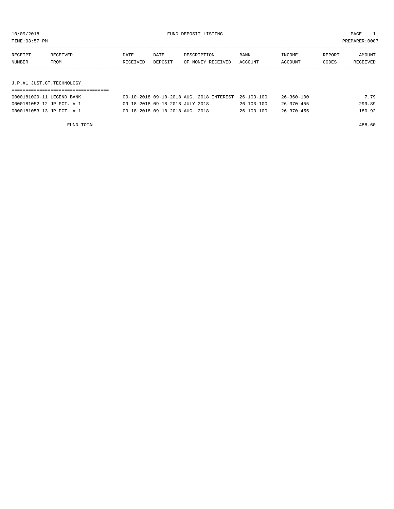| TIME: 03:57 PM |                           |          |         |                   |         |         |        | PREPARER: 0007 |  |
|----------------|---------------------------|----------|---------|-------------------|---------|---------|--------|----------------|--|
|                |                           |          |         |                   |         |         |        |                |  |
| RECEIPT        | RECEIVED                  | DATE     | DATE    | DESCRIPTION       | BANK    | INCOME  | REPORT | AMOUNT         |  |
| NUMBER         | FROM                      | RECEIVED | DEPOSIT | OF MONEY RECEIVED | ACCOUNT | ACCOUNT | CODES  | RECEIVED       |  |
|                |                           |          |         |                   |         |         |        |                |  |
|                | J.P.#1 JUST.CT.TECHNOLOGY |          |         |                   |         |         |        |                |  |
|                |                           |          |         |                   |         |         |        |                |  |

| 0000181029-11 LEGEND BANK | 09-10-2018 09-10-2018 AUG. 2018 INTEREST 26-103-100 |                  | $26 - 360 - 100$ | 7.79   |
|---------------------------|-----------------------------------------------------|------------------|------------------|--------|
| 0000181052-12 JP PCT. # 1 | 09-18-2018 09-18-2018 JULY 2018                     | $26 - 103 - 100$ | 26-370-455       | 299.89 |
| 0000181053-13 JP PCT. # 1 | 09-18-2018 09-18-2018 AUG. 2018                     | $26 - 103 - 100$ | $26 - 370 - 455$ | 180.92 |

FUND TOTAL 488.60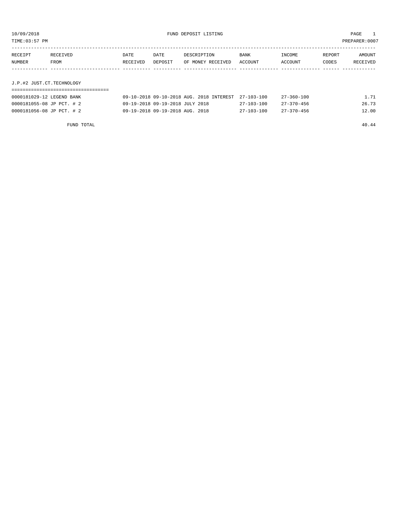| TIME:03:57 PM |          |             |         |                   |             |         |        | PREPARER: 0007  |
|---------------|----------|-------------|---------|-------------------|-------------|---------|--------|-----------------|
| RECEIPT       | RECEIVED | <b>DATE</b> | DATE    | DESCRIPTION       | <b>BANK</b> | INCOME  | REPORT | <b>AMOUNT</b>   |
| NUMBER        | FROM     | RECEIVED    | DEPOSIT | OF MONEY RECEIVED | ACCOUNT     | ACCOUNT | CODES  | <b>RECEIVED</b> |

J.P.#2 JUST.CT.TECHNOLOGY

| 0000181029-12 LEGEND BANK | 09-10-2018 09-10-2018 AUG. 2018 INTEREST 27-103-100 |            | 27-360-100 | 1.71  |
|---------------------------|-----------------------------------------------------|------------|------------|-------|
| 0000181055-08 JP PCT. # 2 | 09-19-2018 09-19-2018 JULY 2018                     | 27-103-100 | 27–370–456 | 26.73 |
| 0000181056-08 JP PCT. # 2 | 09-19-2018 09-19-2018 AUG. 2018                     | 27-103-100 | 27–370–456 | 12.00 |

FUND TOTAL 40.44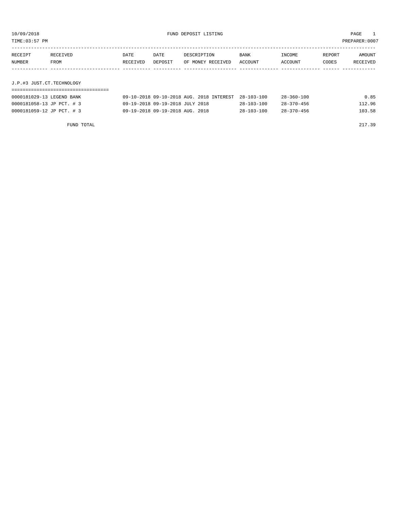| TIME: 03:57 PM |                           |          |         |                   |         |         |        | PREPARER: 0007 |  |
|----------------|---------------------------|----------|---------|-------------------|---------|---------|--------|----------------|--|
|                |                           |          |         |                   |         |         |        |                |  |
| RECEIPT        | RECEIVED                  | DATE     | DATE    | DESCRIPTION       | BANK    | INCOME  | REPORT | AMOUNT         |  |
| NUMBER         | FROM                      | RECEIVED | DEPOSIT | OF MONEY RECEIVED | ACCOUNT | ACCOUNT | CODES  | RECEIVED       |  |
|                |                           |          |         |                   |         |         |        |                |  |
|                | J.P.#3 JUST.CT.TECHNOLOGY |          |         |                   |         |         |        |                |  |
|                |                           |          |         |                   |         |         |        |                |  |

| 0000181029-13 LEGEND BANK | 09-10-2018 09-10-2018 AUG. 2018 INTEREST 28-103-100 |                  | $28 - 360 - 100$ | 0.85   |
|---------------------------|-----------------------------------------------------|------------------|------------------|--------|
| 0000181058-13 JP PCT. # 3 | 09-19-2018 09-19-2018 JULY 2018                     | $28 - 103 - 100$ | $28 - 370 - 456$ | 112.96 |
| 0000181059-12 JP PCT. # 3 | 09-19-2018 09-19-2018 AUG. 2018                     | $28 - 103 - 100$ | $28 - 370 - 456$ | 103.58 |

FUND TOTAL 217.39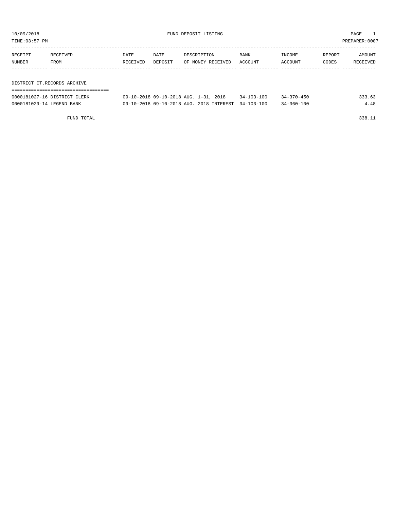| TIME:03:57 PM     |                             |                  |                 |                                  |                        |                   |                 | PREPARER:0007      |  |  |
|-------------------|-----------------------------|------------------|-----------------|----------------------------------|------------------------|-------------------|-----------------|--------------------|--|--|
| RECEIPT<br>NUMBER | RECEIVED<br>FROM            | DATE<br>RECEIVED | DATE<br>DEPOSIT | DESCRIPTION<br>OF MONEY RECEIVED | <b>BANK</b><br>ACCOUNT | INCOME<br>ACCOUNT | REPORT<br>CODES | AMOUNT<br>RECEIVED |  |  |
|                   |                             |                  |                 |                                  |                        |                   |                 |                    |  |  |
|                   | DISTRICT CT.RECORDS ARCHIVE |                  |                 |                                  |                        |                   |                 |                    |  |  |
|                   |                             |                  |                 |                                  |                        |                   |                 |                    |  |  |

| 0000181027-16 DISTRICT CLERK | 09-10-2018 09-10-2018 AUG. 1                        | 2018<br>$1 - 31$ . | $34 - 103 - 100$ | $34 - 370 - 450$ | 33.63 |
|------------------------------|-----------------------------------------------------|--------------------|------------------|------------------|-------|
| 0000181029-14 LEGEND BANK    | 09-10-2018 09-10-2018 AUG. 2018 INTEREST 34-103-100 |                    |                  | 34-360-100       |       |

FUND TOTAL 338.11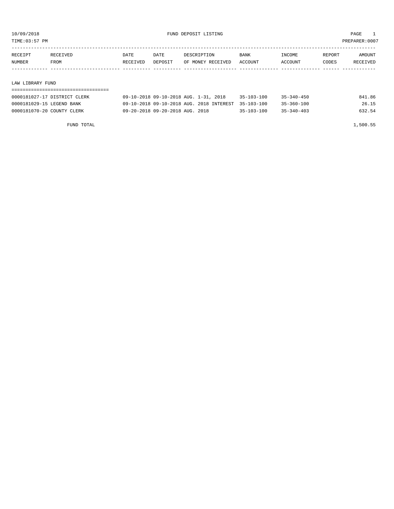TIME:03:57 PM PREPARER:0007

| RECEIPT          | RECEIVED | DATE     | DATE    | DESCRIPTION       | <b>BANK</b> | INCOME  | REPORT | AMOUNT   |
|------------------|----------|----------|---------|-------------------|-------------|---------|--------|----------|
| NUMBER           | FROM     | RECEIVED | DEPOSIT | OF MONEY RECEIVED | ACCOUNT     | ACCOUNT | CODES  | RECEIVED |
|                  |          |          |         |                   |             |         |        |          |
|                  |          |          |         |                   |             |         |        |          |
| LAW LIBRARY FUND |          |          |         |                   |             |         |        |          |

| 0000181027-17 DISTRICT CLERK | 09-10-2018 09-10-2018 AUG. 1-31, 2018               | $35 - 103 - 100$ | $35 - 340 - 450$ | 841.86 |
|------------------------------|-----------------------------------------------------|------------------|------------------|--------|
| 0000181029-15 LEGEND BANK    | 09-10-2018 09-10-2018 AUG. 2018 INTEREST 35-103-100 |                  | $35 - 360 - 100$ | 26.15  |
| 0000181070-20 COUNTY CLERK   | 09-20-2018 09-20-2018 AUG. 2018                     | $35 - 103 - 100$ | $35 - 340 - 403$ | 632.54 |

FUND TOTAL 1,500.55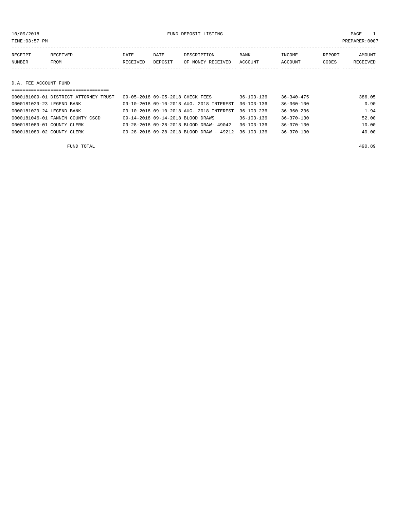10/09/2018 FUND DEPOSIT LISTING PAGE 1

| RECEIPT | RECEIVED | <b>DATE</b> | DATE    | DESCRIPTION       | <b>BANK</b> | INCOME  | REPORT | <b>AMOUNT</b> |
|---------|----------|-------------|---------|-------------------|-------------|---------|--------|---------------|
| NUMBER  | FROM     | RECEIVED    | DEPOSIT | OF MONEY RECEIVED | ACCOUNT     | ACCOUNT | CODES  | RECEIVED      |
|         |          |             |         |                   |             |         |        |               |
|         |          |             |         |                   |             |         |        |               |

## D.A. FEE ACCOUNT FUND

| ===================================   |                                                      |                  |                  |        |
|---------------------------------------|------------------------------------------------------|------------------|------------------|--------|
| 0000181009-01 DISTRICT ATTORNEY TRUST | 09-05-2018 09-05-2018 CHECK FEES                     | $36 - 103 - 136$ | $36 - 340 - 475$ | 386.05 |
| 0000181029-23 LEGEND BANK             | 09-10-2018 09-10-2018 AUG. 2018 INTEREST             | $36 - 103 - 136$ | $36 - 360 - 100$ | 0.90   |
| 0000181029-24 LEGEND BANK             | 09-10-2018 09-10-2018 AUG. 2018 INTEREST             | $36 - 103 - 236$ | $36 - 360 - 236$ | 1.94   |
| 0000181046-01 FANNIN COUNTY CSCD      | 09-14-2018 09-14-2018 BLOOD DRAWS                    | $36 - 103 - 136$ | $36 - 370 - 130$ | 52.00  |
| 0000181089-01 COUNTY CLERK            | 09-28-2018 09-28-2018 BLOOD DRAW- 49042              | $36 - 103 - 136$ | $36 - 370 - 130$ | 10.00  |
| 0000181089-02 COUNTY CLERK            | $09 - 28 - 2018$ $09 - 28 - 2018$ BLOOD DRAW - 49212 | $36 - 103 - 136$ | $36 - 370 - 130$ | 40.00  |
|                                       |                                                      |                  |                  |        |

FUND TOTAL 490.89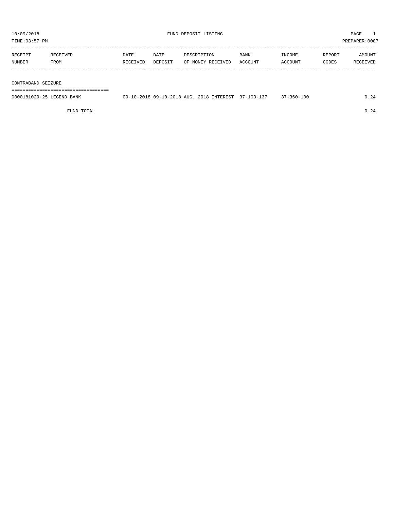| 10/09/2018<br>TIME:03:57 PM |                  |                  |                 | FUND DEPOSIT LISTING             |                 |                   |                 | PAGE<br>PREPARER: 0007 |
|-----------------------------|------------------|------------------|-----------------|----------------------------------|-----------------|-------------------|-----------------|------------------------|
| RECEIPT<br>NUMBER           | RECEIVED<br>FROM | DATE<br>RECEIVED | DATE<br>DEPOSIT | DESCRIPTION<br>OF MONEY RECEIVED | BANK<br>ACCOUNT | INCOME<br>ACCOUNT | REPORT<br>CODES | AMOUNT<br>RECEIVED     |
| CONTRABAND SEIZURE          |                  |                  |                 |                                  |                 |                   |                 |                        |

===================================

| 0000181029-25 LEGEND BANK | 09-10-2018 09-10-2018 AUG. 2018 INTEREST 37-103-137 |  | $37 - 360 - 100$ |  |
|---------------------------|-----------------------------------------------------|--|------------------|--|
|                           |                                                     |  |                  |  |

FUND TOTAL  $0.24$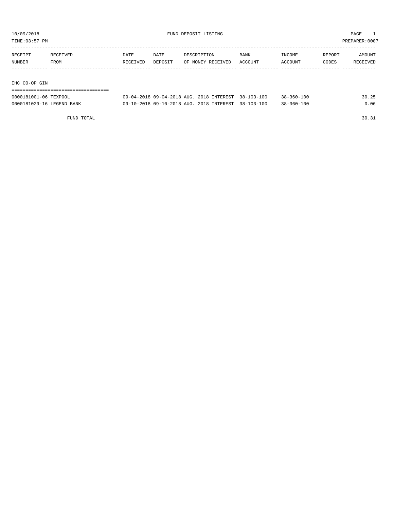TIME:03:57 PM PREPARER:0007

| RECEIVED | <b>DATE</b> | DATE     | DESCRIPTION | BANK              | INCOME  | REPORT  | AMOUNT   |
|----------|-------------|----------|-------------|-------------------|---------|---------|----------|
| FROM     |             |          |             |                   |         | CODES   | RECEIVED |
|          |             |          |             |                   |         |         |          |
|          |             |          |             |                   |         |         |          |
|          |             | RECEIVED | DEPOSIT     | OF MONEY RECEIVED | ACCOUNT | ACCOUNT |          |

IHC CO-OP GIN

| ------------------------------------- |                                          |               |            |                  |          |
|---------------------------------------|------------------------------------------|---------------|------------|------------------|----------|
| 0000181001-06 TEXPOOL                 | $09 - 04 - 2018$ $09 - 04 - 2018$ AUG. 2 | 2018 INTEREST | 38-103-100 | $38 - 360 - 100$ | つら<br>30 |

| 0000181029-16 LEGEND BANK |  | 09-10-2018 09-10-2018 AUG. 2018 INTEREST 38-103-100 |  |  | $38 - 360 - 100$ | 0.06 |
|---------------------------|--|-----------------------------------------------------|--|--|------------------|------|
|---------------------------|--|-----------------------------------------------------|--|--|------------------|------|

FUND TOTAL 30.31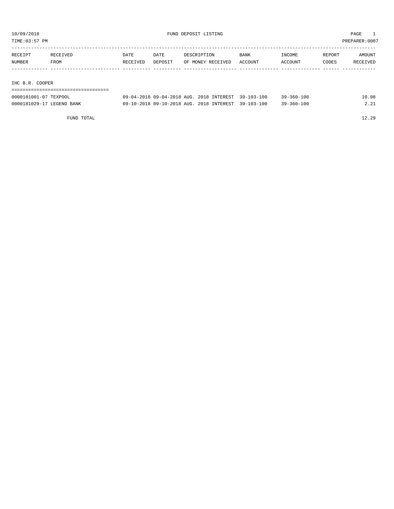TIME:03:57 PM PREPARER:0007

| RECEIPT | RECEIVED | <b>DATE</b> | DATE    | DESCRIPTION       | <b>BANK</b> | INCOME  | REPORT | AMOUNT   |
|---------|----------|-------------|---------|-------------------|-------------|---------|--------|----------|
| NUMBER  | FROM     | RECEIVED    | DEPOSIT | OF MONEY RECEIVED | ACCOUNT     | ACCOUNT | CODES  | RECEIVED |
|         |          |             |         |                   |             |         |        |          |
|         |          |             |         |                   |             |         |        |          |

IHC B.R. COOPER

| 0000181001-07 TEXPOOL     | 09-04-2018 09-04-2018 AUG. 2018 INTEREST 39-103-100 | $39 - 360 - 100$ | 10.08 |
|---------------------------|-----------------------------------------------------|------------------|-------|
| 0000181029-17 LEGEND BANK | 09-10-2018 09-10-2018 AUG. 2018 INTEREST 39-103-100 | $39 - 360 - 100$ | 2.21  |

FUND TOTAL 12.29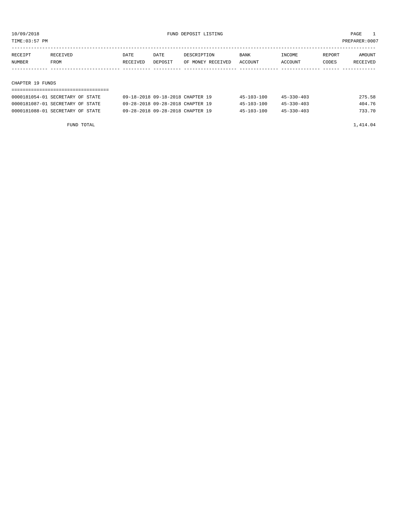TIME:03:57 PM PREPARER:0007

| RECEIPT | RECEIVED | DATE     | DATE    | DESCRIPTION       | <b>BANK</b> | INCOME  | REPORT | AMOUNT   |
|---------|----------|----------|---------|-------------------|-------------|---------|--------|----------|
| NUMBER  | FROM     | RECEIVED | DEPOSIT | OF MONEY RECEIVED | ACCOUNT     | ACCOUNT | CODES  | RECEIVED |
|         |          |          |         |                   |             |         |        |          |

### CHAPTER 19 FUNDS

| 0000181054-01 SECRETARY OF STATE | 09-18-2018 09-18-2018 CHAPTER 19 | $45 - 103 - 100$ | $45 - 330 - 403$ | 275.58 |
|----------------------------------|----------------------------------|------------------|------------------|--------|
| 0000181087-01 SECRETARY OF STATE | 09-28-2018 09-28-2018 CHAPTER 19 | $45 - 103 - 100$ | $45 - 330 - 403$ | 404.76 |
| 0000181088-01 SECRETARY OF STATE | 09-28-2018 09-28-2018 CHAPTER 19 | $45 - 103 - 100$ | $45 - 330 - 403$ | 733.70 |

FUND TOTAL  $1,414.04$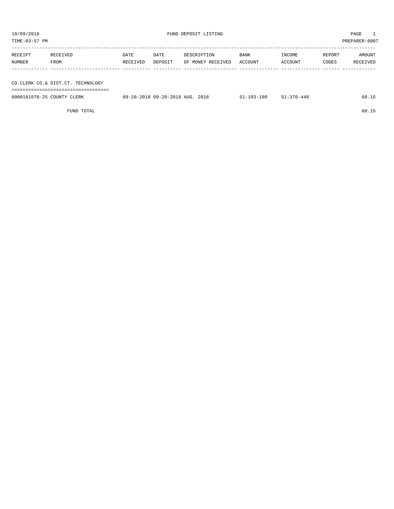TIME:03:57 PM PREPARER:0007 ----------------------------------------------------------------------------------------------------------------------------------- RECEIPT RECEIVED DATE DATE DESCRIPTION BANK INCOME REPORT AMOUNT NUMBER FROM RECEIVED DEPOSIT OF MONEY RECEIVED ACCOUNT ACCOUNT CODES RECEIVED ------------- ------------------------- ---------- ---------- ------------------- -------------- -------------- ------ ------------ CO.CLERK CO.& DIST.CT. TECHNOLOGY =================================== 0000181070-25 COUNTY CLERK 09-20-2018 09-20-2018 AUG. 2018 51-103-100 51-370-440 60.15

| RECEIPT<br>NUMBER | RECEIVED<br>FROM                  | DATE<br>RECEIVED | DATE<br>DEPOSIT                 | DESCRIPTION<br>OF MONEY RECEIVED | BANK<br>ACCOUNT  | INCOME<br>ACCOUNT | REPORT<br>CODES | AMOUNT<br>RECEIVED |
|-------------------|-----------------------------------|------------------|---------------------------------|----------------------------------|------------------|-------------------|-----------------|--------------------|
|                   |                                   |                  |                                 |                                  |                  |                   |                 |                    |
|                   | CO.CLERK CO.& DIST.CT. TECHNOLOGY |                  |                                 |                                  |                  |                   |                 |                    |
|                   | 0000181070-25 COUNTY CLERK        |                  | 09-20-2018 09-20-2018 AUG. 2018 |                                  | $51 - 103 - 100$ | $51 - 370 - 440$  |                 | 60.15              |
|                   | FUND TOTAL                        |                  |                                 |                                  |                  |                   |                 | 60.15              |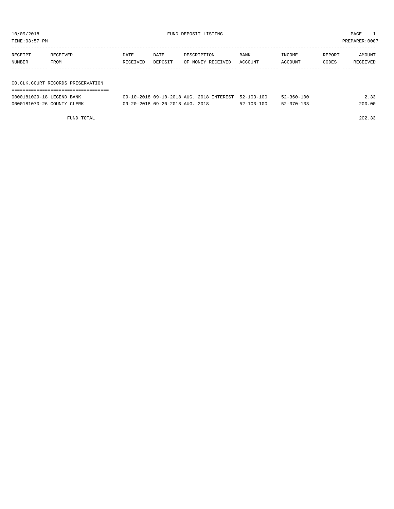| TIME: 03:57 PM            |                                     |          |         |                                          |                  |                  |        | PREPARER: 0007 |
|---------------------------|-------------------------------------|----------|---------|------------------------------------------|------------------|------------------|--------|----------------|
|                           |                                     |          |         |                                          |                  |                  |        |                |
| RECEIPT                   | RECEIVED                            | DATE     | DATE    | DESCRIPTION                              | <b>BANK</b>      | INCOME           | REPORT | AMOUNT         |
| NUMBER                    | FROM                                | RECEIVED | DEPOSIT | OF MONEY RECEIVED                        | ACCOUNT          | ACCOUNT          | CODES  | RECEIVED       |
|                           |                                     |          |         |                                          |                  |                  |        |                |
|                           |                                     |          |         |                                          |                  |                  |        |                |
|                           | CO. CLK. COURT RECORDS PRESERVATION |          |         |                                          |                  |                  |        |                |
|                           |                                     |          |         |                                          |                  |                  |        |                |
| 0000181029-18 LEGEND BANK |                                     |          |         | 09-10-2018 09-10-2018 AUG. 2018 INTEREST | $52 - 103 - 100$ | $52 - 360 - 100$ |        | 2.33           |

| 0000181070-26 COUNTY CLERK |            | 09-20-2018 09-20-2018 AUG. 2018 | $52 - 103 - 100$ | $52 - 370 - 133$ | 200.00 |
|----------------------------|------------|---------------------------------|------------------|------------------|--------|
|                            |            |                                 |                  |                  |        |
|                            | FUND TOTAL |                                 |                  |                  | 202.33 |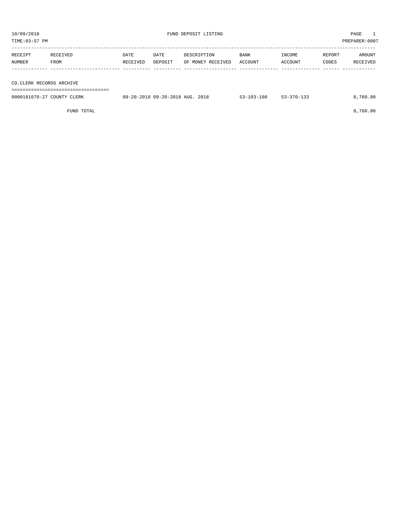TIME:03:57 PM PREPARER:0007 ----------------------------------------------------------------------------------------------------------------------------------- RECEIPT RECEIVED DATE DATE DESCRIPTION BANK INCOME REPORT AMOUNT NUMBER FROM RECEIVED DEPOSIT OF MONEY RECEIVED ACCOUNT ACCOUNT CODES RECEIVED ------------- ------------------------- ---------- ---------- ------------------- -------------- -------------- ------ ------------

CO.CLERK RECORDS ARCHIVE

===================================

| 0000181070-27 COUNTY CLERK | 09-20-2018 09-20-2018 AUG. 2018<br>. | $53 - 103 - 100$ | $53 - 370 - 133$ | .760.00 |
|----------------------------|--------------------------------------|------------------|------------------|---------|
|                            |                                      |                  |                  |         |

FUND TOTAL 8,760.00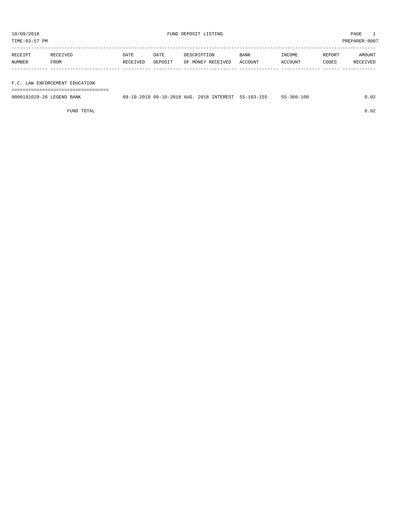TIME:03:57 PM PREPARER:0007

| RECEIPT | RECEIVED                       | DATE     | DATE    | DESCRIPTION       | BANK    | INCOME  | REPORT | AMOUNT   |  |
|---------|--------------------------------|----------|---------|-------------------|---------|---------|--------|----------|--|
| NUMBER  | FROM                           | RECEIVED | DEPOSIT | OF MONEY RECEIVED | ACCOUNT | ACCOUNT | CODES  | RECEIVED |  |
|         |                                |          |         |                   |         |         |        |          |  |
|         |                                |          |         |                   |         |         |        |          |  |
|         | F.C. LAW ENFORCEMENT EDUCATION |          |         |                   |         |         |        |          |  |

| -------------------------------------  |                                                       |                   |            |                 |        |
|----------------------------------------|-------------------------------------------------------|-------------------|------------|-----------------|--------|
| 0000181029-26<br><b>BANK</b><br>.EGEND | AUG.<br>09-10-2018<br>$\cap$ $\Omega$ $-$<br>-10-2018 | 201.R<br>TNTFPFCT | 55-103-155 | 10 C<br>55–360– | $\sim$ |

FUND TOTAL 0.02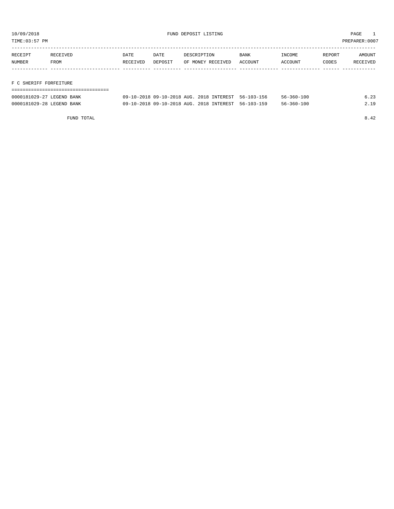TIME:03:57 PM PREPARER:0007

| RECEIPT | RECEIVED               | DATE     | DATE    | DESCRIPTION       | <b>BANK</b> | INCOME  | REPORT | AMOUNT   |
|---------|------------------------|----------|---------|-------------------|-------------|---------|--------|----------|
| NUMBER  | FROM                   | RECEIVED | DEPOSIT | OF MONEY RECEIVED | ACCOUNT     | ACCOUNT | CODES  | RECEIVED |
|         |                        |          |         |                   |             |         |        |          |
|         |                        |          |         |                   |             |         |        |          |
|         | F C SHERIFF FORFEITURE |          |         |                   |             |         |        |          |

| 0000181029-27 LEGEND BANK | 09-10-2018 09-10-2018 AUG. 2018 INTEREST 56-103-156 |  | $56 - 360 - 100$ | 6.23 |
|---------------------------|-----------------------------------------------------|--|------------------|------|
| 0000181029-28 LEGEND BANK | 09-10-2018 09-10-2018 AUG. 2018 INTEREST 56-103-159 |  | $56 - 360 - 100$ | 2.19 |

FUND TOTAL 8.42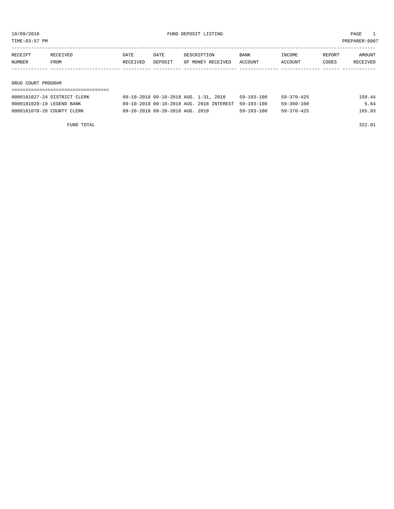| TIME:03:57 PM | PREPARER: 0007 |
|---------------|----------------|
|               |                |

| RECEIPT       | RECEIVED           | DATE     | DATE    | DESCRIPTION       | <b>BANK</b> | INCOME  | REPORT | AMOUNT   |
|---------------|--------------------|----------|---------|-------------------|-------------|---------|--------|----------|
| <b>NUMBER</b> | FROM               | RECEIVED | DEPOSIT | OF MONEY RECEIVED | ACCOUNT     | ACCOUNT | CODES  | RECEIVED |
|               |                    |          |         |                   |             |         |        |          |
|               |                    |          |         |                   |             |         |        |          |
|               | DRUG COURT PROGRAM |          |         |                   |             |         |        |          |

| 150.44 |
|--------|
| 5.64   |
| 165.93 |
|        |

FUND TOTAL 322.01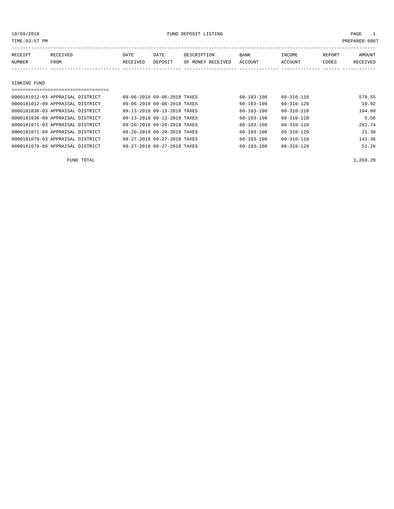| TIME: 03:57 PM |              |                                  |          |                             |                   |                  |                  | PREPARER: 0007 |                 |
|----------------|--------------|----------------------------------|----------|-----------------------------|-------------------|------------------|------------------|----------------|-----------------|
|                | RECEIPT      | RECEIVED                         | DATE     | DATE                        | DESCRIPTION       | <b>BANK</b>      | INCOME           | REPORT         | AMOUNT          |
|                | NUMBER       | FROM                             | RECEIVED | DEPOSIT                     | OF MONEY RECEIVED | ACCOUNT          | ACCOUNT          | CODES          | <b>RECEIVED</b> |
|                |              |                                  |          |                             |                   |                  |                  |                |                 |
|                |              |                                  |          |                             |                   |                  |                  |                |                 |
|                | SINKING FUND |                                  |          |                             |                   |                  |                  |                |                 |
|                |              |                                  |          |                             |                   |                  |                  |                |                 |
|                |              | 0000181012-03 APPRAISAL DISTRICT |          | 09-06-2018 09-06-2018 TAXES |                   | $60 - 103 - 100$ | $60 - 310 - 110$ |                | 579.55          |
|                |              | 0000181012-09 APPRAISAL DISTRICT |          | 09-06-2018 09-06-2018 TAXES |                   | $60 - 103 - 100$ | $60 - 310 - 120$ |                | 10.92           |
|                |              | 0000181036-03 APPRAISAL DISTRICT |          | 09-13-2018 09-13-2018 TAXES |                   | $60 - 103 - 100$ | $60 - 310 - 110$ |                | 194.60          |
|                |              | 0000181036-09 APPRAISAL DISTRICT |          | 09-13-2018 09-13-2018 TAXES |                   | $60 - 103 - 100$ | $60 - 310 - 120$ |                | 5.56            |

0000181071-03 APPRAISAL DISTRICT 09-20-2018 09-20-2018 TAXES 60-103-100 60-310-110 262.74 0000181071-09 APPRAISAL DISTRICT 09-20-2018 09-20-2018 TAXES 60-103-100 60-310-120 21.30 0000181079-03 APPRAISAL DISTRICT 09-27-2018 09-27-2018 TAXES 60-103-100 60-310-110 143.36 0000181079-09 APPRAISAL DISTRICT  $09-27-2018$  09-27-2018 TAXES  $60-103-100$   $60-310-120$ 

FUND TOTAL  $1,269.29$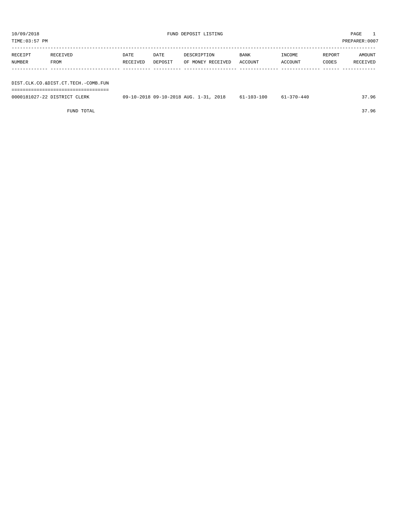FUND TOTAL 37.96

| 10/09/2018    |                                                                              | FUND DEPOSIT LISTING |         |                                       |                  |            |        | $\mathbf{1}$<br>PAGE |  |  |
|---------------|------------------------------------------------------------------------------|----------------------|---------|---------------------------------------|------------------|------------|--------|----------------------|--|--|
| TIME:03:57 PM |                                                                              |                      |         |                                       |                  |            |        | PREPARER:0007        |  |  |
| RECEIPT       | RECEIVED                                                                     | DATE                 | DATE    | DESCRIPTION                           | BANK             | INCOME     | REPORT | AMOUNT               |  |  |
| NUMBER        | FROM                                                                         | RECEIVED             | DEPOSIT | OF MONEY RECEIVED                     | ACCOUNT          | ACCOUNT    | CODES  | RECEIVED             |  |  |
|               |                                                                              |                      |         |                                       |                  |            |        |                      |  |  |
|               | DIST.CLK.CO.&DIST.CT.TECH.-COMB.FUN<br>===================================== |                      |         |                                       |                  |            |        |                      |  |  |
|               | 0000181027-22 DISTRICT CLERK                                                 |                      |         | 09-10-2018 09-10-2018 AUG. 1-31, 2018 | $61 - 103 - 100$ | 61-370-440 |        | 37.96                |  |  |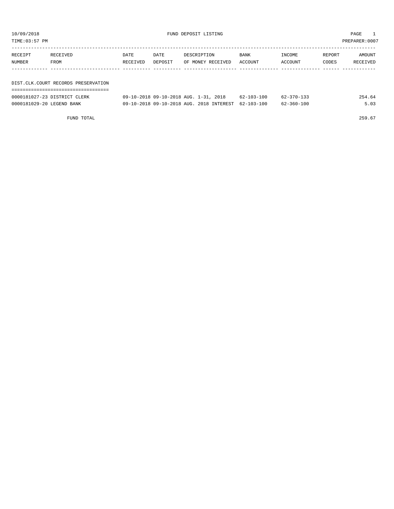| TIME:03:57 PM             |                                     |                  |                 |                                                                                   |                                |                                      |                 | PREPARER:0007      |
|---------------------------|-------------------------------------|------------------|-----------------|-----------------------------------------------------------------------------------|--------------------------------|--------------------------------------|-----------------|--------------------|
| RECEIPT<br>NUMBER         | RECEIVED<br>FROM                    | DATE<br>RECEIVED | DATE<br>DEPOSIT | DESCRIPTION<br>OF MONEY RECEIVED                                                  | <b>BANK</b><br>ACCOUNT         | INCOME<br>ACCOUNT                    | REPORT<br>CODES | AMOUNT<br>RECEIVED |
|                           | DIST.CLK.COURT RECORDS PRESERVATION |                  |                 |                                                                                   |                                |                                      |                 |                    |
| 0000181029-20 LEGEND BANK | 0000181027-23 DISTRICT CLERK        |                  |                 | 09-10-2018 09-10-2018 AUG. 1-31, 2018<br>09-10-2018 09-10-2018 AUG. 2018 INTEREST | 62-103-100<br>$62 - 103 - 100$ | $62 - 370 - 133$<br>$62 - 360 - 100$ |                 | 254.64<br>5.03     |

FUND TOTAL 259.67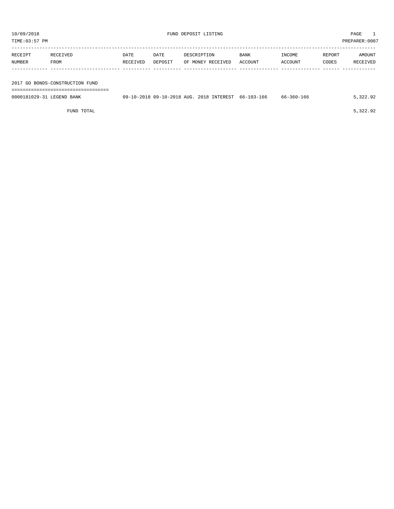| TIME: 03:57 PM            |                                 |          |         |             |                   |                                                     |            |        | PREPARER:0007 |
|---------------------------|---------------------------------|----------|---------|-------------|-------------------|-----------------------------------------------------|------------|--------|---------------|
| RECEIPT                   | RECEIVED                        | DATE     | DATE    | DESCRIPTION |                   | <b>BANK</b>                                         | INCOME     | REPORT | AMOUNT        |
| NUMBER                    | FROM                            | RECEIVED | DEPOSIT |             | OF MONEY RECEIVED | ACCOUNT                                             | ACCOUNT    | CODES  | RECEIVED      |
|                           |                                 |          |         |             |                   |                                                     |            |        |               |
|                           | 2017 GO BONDS-CONSTRUCTION FUND |          |         |             |                   |                                                     |            |        |               |
| 0000181029-31 LEGEND BANK |                                 |          |         |             |                   | 09-10-2018 09-10-2018 AUG. 2018 INTEREST 66-103-166 | 66-360-166 |        | 5,322.92      |

FUND TOTAL  $5,322.92$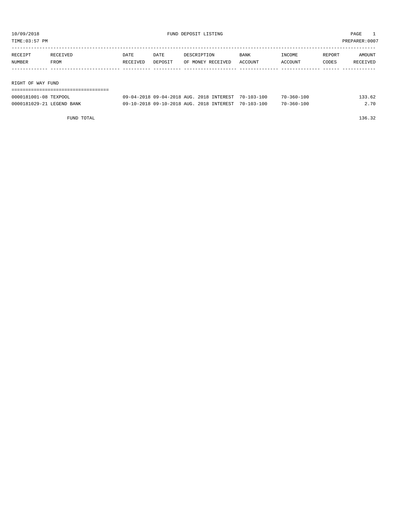TIME:03:57 PM PREPARER:0007

| RECEIPT           | RECEIVED | DATE     | DATE    | DESCRIPTION       | <b>BANK</b> | INCOME  | REPORT | AMOUNT   |
|-------------------|----------|----------|---------|-------------------|-------------|---------|--------|----------|
| NUMBER            | FROM     | RECEIVED | DEPOSIT | OF MONEY RECEIVED | ACCOUNT     | ACCOUNT | CODES  | RECEIVED |
|                   |          |          |         |                   |             |         |        |          |
|                   |          |          |         |                   |             |         |        |          |
| RIGHT OF WAY FUND |          |          |         |                   |             |         |        |          |

| 0000181001-08 TEXPOOL     | 09-04-2018 09-04-2018 AUG. 2018 INTEREST 70-103-100 |  | $70 - 360 - 100$ | 133.62 |
|---------------------------|-----------------------------------------------------|--|------------------|--------|
| 0000181029-21 LEGEND BANK | 09-10-2018 09-10-2018 AUG. 2018 INTEREST 70-103-100 |  | $70 - 360 - 100$ | 2.70   |

FUND TOTAL 136.32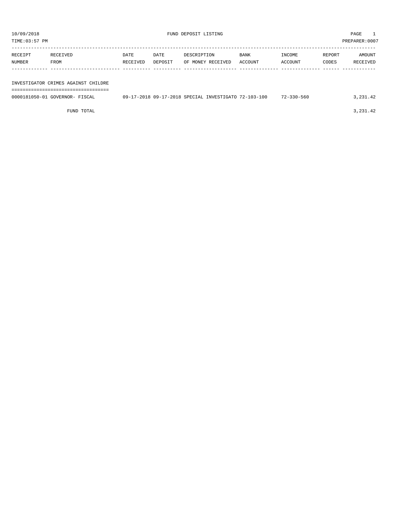| TIME:03:57 PM |                                     |          |         |                                                      |         |                  | PREPARER:0007 |            |
|---------------|-------------------------------------|----------|---------|------------------------------------------------------|---------|------------------|---------------|------------|
|               |                                     |          |         |                                                      |         |                  |               |            |
| RECEIPT       | RECEIVED                            | DATE     | DATE    | DESCRIPTION                                          | BANK    | INCOME           | REPORT        | AMOUNT     |
| NUMBER        | FROM                                | RECEIVED | DEPOSIT | OF MONEY RECEIVED                                    | ACCOUNT | ACCOUNT          | CODES         | RECEIVED   |
|               |                                     |          |         |                                                      |         |                  |               |            |
|               |                                     |          |         |                                                      |         |                  |               |            |
|               | INVESTIGATOR CRIMES AGAINST CHILDRE |          |         |                                                      |         |                  |               |            |
|               |                                     |          |         |                                                      |         |                  |               |            |
|               | 0000181050-01 GOVERNOR- FISCAL      |          |         | 09-17-2018 09-17-2018 SPECIAL INVESTIGATO 72-103-100 |         | $72 - 330 - 560$ |               | 3, 231, 42 |

FUND TOTAL  $3,231.42$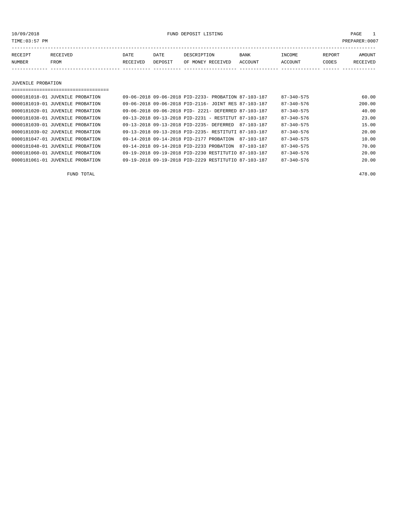10/09/2018 FUND DEPOSIT LISTING PAGE 1

| RECEIPT | <b>RECEIVED</b> | DATE            | DATE    | DESCRIPTION       | <b>BANK</b> | INCOME  | REPORT | AMOUNT          |
|---------|-----------------|-----------------|---------|-------------------|-------------|---------|--------|-----------------|
| NUMBER  | FROM            | <b>RECEIVED</b> | DEPOSIT | OF MONEY RECEIVED | ACCOUNT     | ACCOUNT | CODES  | <b>RECEIVED</b> |
|         |                 |                 |         |                   |             |         |        |                 |

JUVENILE PROBATION

===================================

| 0000181018-01 JUVENILE PROBATION | 09-06-2018 09-06-2018 PID-2233- PROBATION 87-103-187 |  |            | $87 - 340 - 575$ | 60.00  |
|----------------------------------|------------------------------------------------------|--|------------|------------------|--------|
| 0000181019-01 JUVENILE PROBATION | 09-06-2018 09-06-2018 PID-2116- JOINT RES 87-103-187 |  |            | $87 - 340 - 576$ | 200.00 |
| 0000181020-01 JUVENILE PROBATION | 09-06-2018 09-06-2018 PID- 2221- DEFERRED 87-103-187 |  |            | $87 - 340 - 575$ | 40.00  |
| 0000181038-01 JUVENILE PROBATION | 09-13-2018 09-13-2018 PID-2231 - RESTITUT 87-103-187 |  |            | $87 - 340 - 576$ | 23.00  |
| 0000181039-01 JUVENILE PROBATION | 09-13-2018 09-13-2018 PTD-2235- DEFERRED             |  | 87-103-187 | $87 - 340 - 575$ | 15.00  |
| 0000181039-02 JUVENILE PROBATION | 09-13-2018 09-13-2018 PID-2235- RESTITUTI 87-103-187 |  |            | $87 - 340 - 576$ | 20.00  |
| 0000181047-01 JUVENILE PROBATION | 09-14-2018 09-14-2018 PID-2177 PROBATION             |  | 87-103-187 | $87 - 340 - 575$ | 10.00  |
| 0000181048-01 JUVENILE PROBATION | 09-14-2018 09-14-2018 PID-2233 PROBATION             |  | 87-103-187 | $87 - 340 - 575$ | 70.00  |
| 0000181060-01 JUVENILE PROBATION | 09-19-2018 09-19-2018 PID-2230 RESTITUTIO 87-103-187 |  |            | $87 - 340 - 576$ | 20.00  |
| 0000181061-01 JUVENILE PROBATION | 09-19-2018 09-19-2018 PID-2229 RESTITUTIO 87-103-187 |  |            | $87 - 340 - 576$ | 20.00  |
|                                  |                                                      |  |            |                  |        |

FUND TOTAL 478.00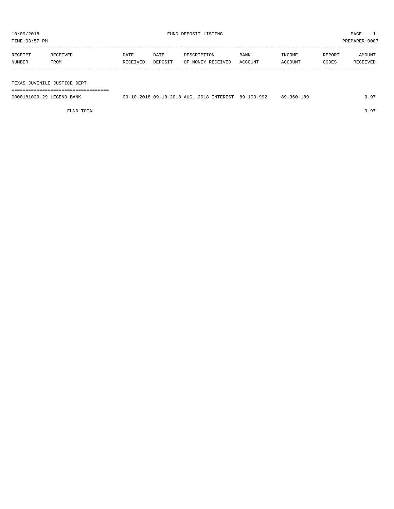TIME:03:57 PM PREPARER:0007

| RECEIPT | RECEIVED | DATE     | DATE    | DESCRIPTION               | BANK | INCOME  | REPORT | AMOUNT   |
|---------|----------|----------|---------|---------------------------|------|---------|--------|----------|
| NUMBER  | FROM     | RECEIVED | DEPOSIT | OF MONEY RECEIVED ACCOUNT |      | ACCOUNT | CODES  | RECEIVED |
|         |          |          |         |                           |      |         |        |          |
|         |          |          |         |                           |      |         |        |          |

TEXAS JUVENILE JUSTICE DEPT.

===================================

| 0000181029-29 LEGEND BANK | 09-10-2018 09-10-2018 AUG. 2018 INTEREST 89-103-992 |  | 89-360-189 | 9.97 |
|---------------------------|-----------------------------------------------------|--|------------|------|
|                           |                                                     |  |            |      |

FUND TOTAL 9.97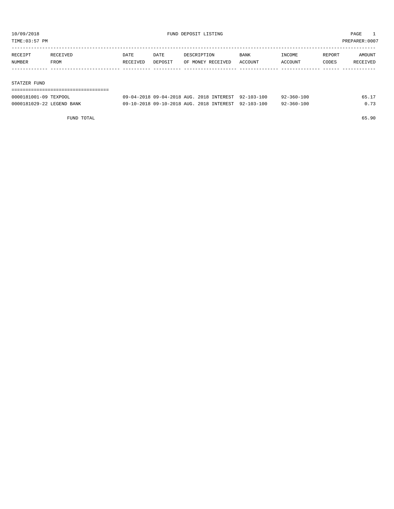TIME:03:57 PM PREPARER:0007

| RECEIPT | RECEIVED    | DATE     | DATE    | DESCRIPTION       | <b>BANK</b> | INCOME  | REPORT | AMOUNT   |
|---------|-------------|----------|---------|-------------------|-------------|---------|--------|----------|
| NUMBER  | <b>FROM</b> | RECEIVED | DEPOSIT | OF MONEY RECEIVED | ACCOUNT     | ACCOUNT | CODES  | RECEIVED |
|         |             |          |         |                   |             |         |        |          |
|         |             |          |         |                   |             |         |        |          |

### STATZER FUND

| 0000181001-09 TEXPOOL     | 09-04-2018 09-04-2018 AUG. 2018 INTEREST 92-103-100 |  | $92 - 360 - 100$ | 65.17 |
|---------------------------|-----------------------------------------------------|--|------------------|-------|
| 0000181029-22 LEGEND BANK | 09-10-2018 09-10-2018 AUG. 2018 INTEREST 92-103-100 |  | $92 - 360 - 100$ | 0.73  |

FUND TOTAL 65.90